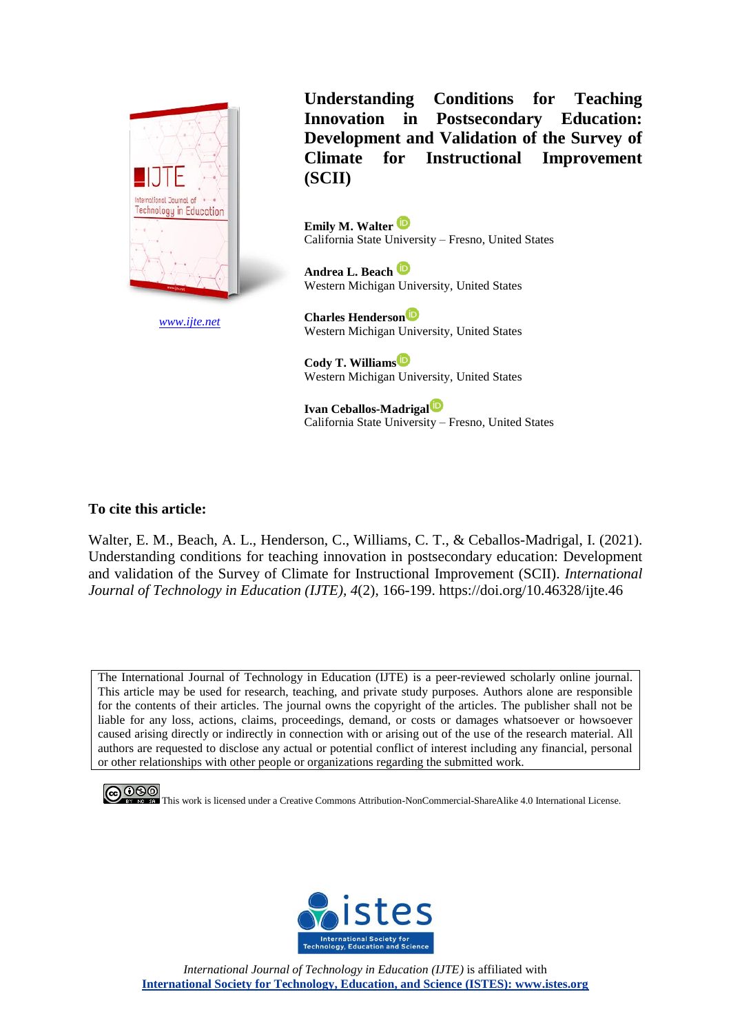

*[www.ijte.net](http://www.ijte.net/)*

**Understanding Conditions for Teaching Innovation in Postsecondary Education: Development and Validation of the Survey of Climate for Instructional Improvement (SCII)**

**Emily M. Walter** California State University – Fresno, United States

**Andrea L. Beach** Western Michigan University, United States

**Charles Henderson** Western Michigan University, United States

**Cody T. Williams** Western Michigan University, United States

**Ivan Ceballos-Madrigal** California State University – Fresno, United States

# **To cite this article:**

Walter, E. M., Beach, A. L., Henderson, C., Williams, C. T., & Ceballos-Madrigal, I. (2021). Understanding conditions for teaching innovation in postsecondary education: Development and validation of the Survey of Climate for Instructional Improvement (SCII). *International Journal of Technology in Education (IJTE), 4*(2), 166-199. https://doi.org/10.46328/ijte.46

The International Journal of Technology in Education (IJTE) is a peer-reviewed scholarly online journal. This article may be used for research, teaching, and private study purposes. Authors alone are responsible for the contents of their articles. The journal owns the copyright of the articles. The publisher shall not be liable for any loss, actions, claims, proceedings, demand, or costs or damages whatsoever or howsoever caused arising directly or indirectly in connection with or arising out of the use of the research material. All authors are requested to disclose any actual or potential conflict of interest including any financial, personal or other relationships with other people or organizations regarding the submitted work.





*International Journal of Technology in Education (IJTE)* is affiliated with **International Society for Technology, Education, and Science (ISTES): www.istes.org**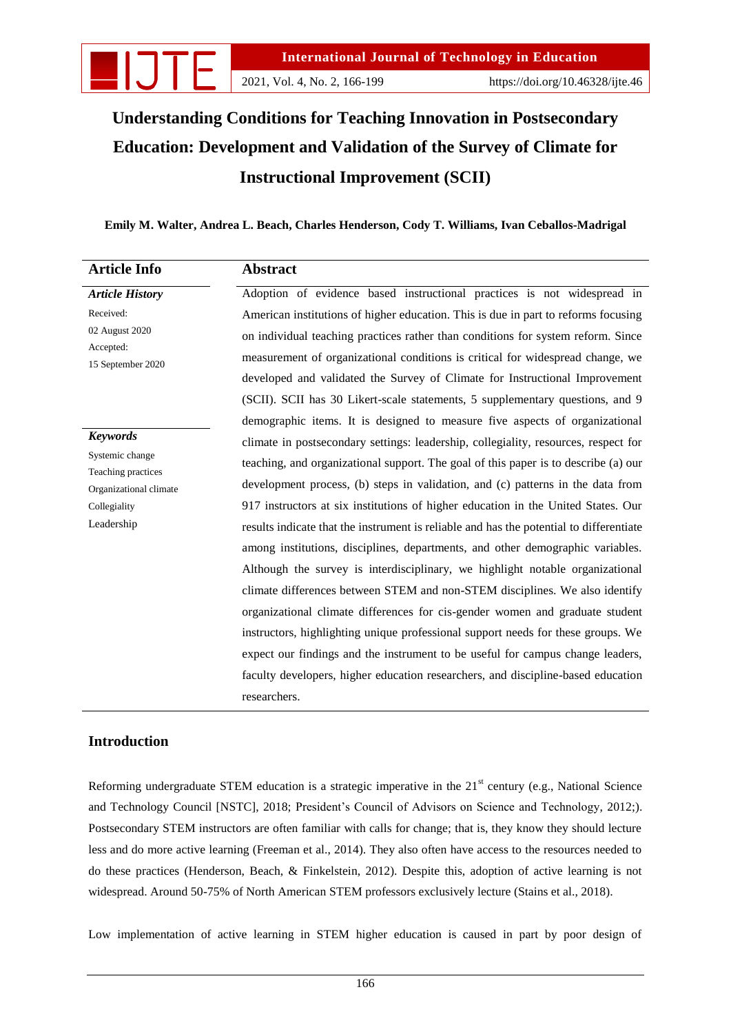

# **Understanding Conditions for Teaching Innovation in Postsecondary Education: Development and Validation of the Survey of Climate for Instructional Improvement (SCII)**

# **Emily M. Walter, Andrea L. Beach, Charles Henderson, Cody T. Williams, Ivan Ceballos-Madrigal**

| <b>Article Info</b>                                             | <b>Abstract</b>                                                                         |  |  |  |
|-----------------------------------------------------------------|-----------------------------------------------------------------------------------------|--|--|--|
| <b>Article History</b>                                          | Adoption of evidence based instructional practices is not widespread in                 |  |  |  |
| Received:<br>02 August 2020                                     | American institutions of higher education. This is due in part to reforms focusing      |  |  |  |
|                                                                 | on individual teaching practices rather than conditions for system reform. Since        |  |  |  |
| Accepted:<br>15 September 2020                                  | measurement of organizational conditions is critical for widespread change, we          |  |  |  |
|                                                                 | developed and validated the Survey of Climate for Instructional Improvement             |  |  |  |
|                                                                 | (SCII). SCII has 30 Likert-scale statements, 5 supplementary questions, and 9           |  |  |  |
|                                                                 | demographic items. It is designed to measure five aspects of organizational             |  |  |  |
| <b>Keywords</b>                                                 | climate in postsecondary settings: leadership, collegiality, resources, respect for     |  |  |  |
| Systemic change<br>Teaching practices<br>Organizational climate | teaching, and organizational support. The goal of this paper is to describe (a) our     |  |  |  |
|                                                                 | development process, (b) steps in validation, and (c) patterns in the data from         |  |  |  |
| Collegiality                                                    | 917 instructors at six institutions of higher education in the United States. Our       |  |  |  |
| Leadership                                                      | results indicate that the instrument is reliable and has the potential to differentiate |  |  |  |
|                                                                 | among institutions, disciplines, departments, and other demographic variables.          |  |  |  |
|                                                                 | Although the survey is interdisciplinary, we highlight notable organizational           |  |  |  |
|                                                                 | climate differences between STEM and non-STEM disciplines. We also identify             |  |  |  |
|                                                                 | organizational climate differences for cis-gender women and graduate student            |  |  |  |
|                                                                 | instructors, highlighting unique professional support needs for these groups. We        |  |  |  |
|                                                                 | expect our findings and the instrument to be useful for campus change leaders,          |  |  |  |
|                                                                 | faculty developers, higher education researchers, and discipline-based education        |  |  |  |
|                                                                 | researchers.                                                                            |  |  |  |

# **Introduction**

Reforming undergraduate STEM education is a strategic imperative in the  $21<sup>st</sup>$  century (e.g., National Science and Technology Council [NSTC], 2018; President"s Council of Advisors on Science and Technology, 2012;). Postsecondary STEM instructors are often familiar with calls for change; that is, they know they should lecture less and do more active learning (Freeman et al., 2014). They also often have access to the resources needed to do these practices (Henderson, Beach, & Finkelstein, 2012). Despite this, adoption of active learning is not widespread. Around 50-75% of North American STEM professors exclusively lecture (Stains et al., 2018).

Low implementation of active learning in STEM higher education is caused in part by poor design of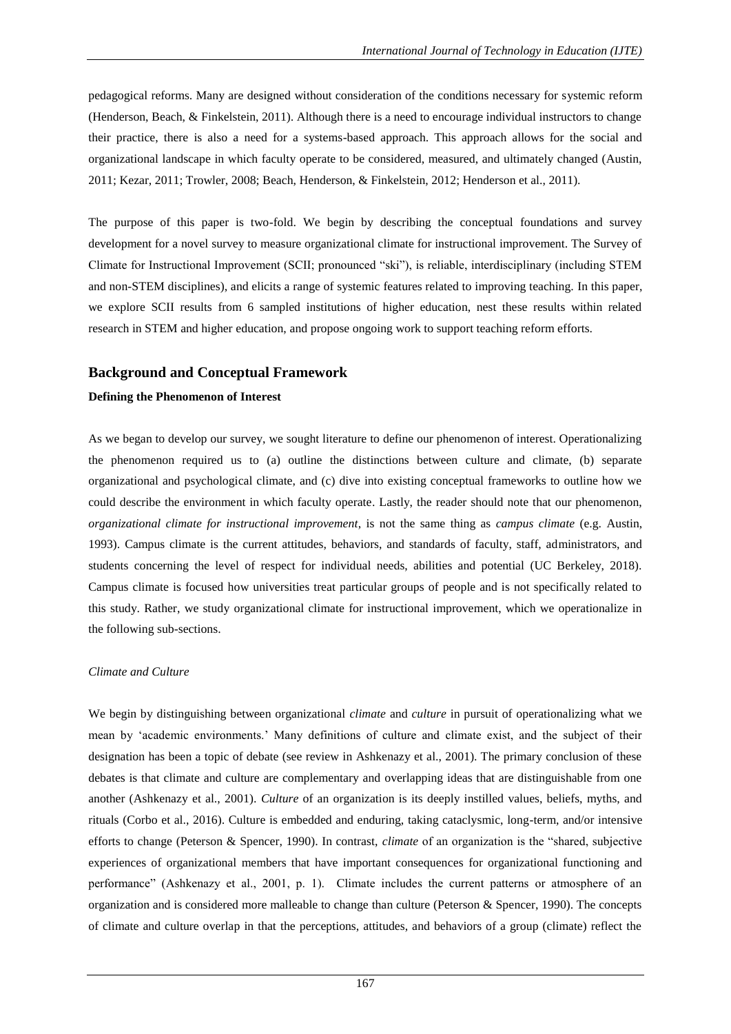pedagogical reforms. Many are designed without consideration of the conditions necessary for systemic reform (Henderson, Beach, & Finkelstein, 2011). Although there is a need to encourage individual instructors to change their practice, there is also a need for a systems-based approach. This approach allows for the social and organizational landscape in which faculty operate to be considered, measured, and ultimately changed (Austin, 2011; Kezar, 2011; Trowler, 2008; Beach, Henderson, & Finkelstein, 2012; Henderson et al., 2011).

The purpose of this paper is two-fold. We begin by describing the conceptual foundations and survey development for a novel survey to measure organizational climate for instructional improvement. The Survey of Climate for Instructional Improvement (SCII; pronounced "ski"), is reliable, interdisciplinary (including STEM and non-STEM disciplines), and elicits a range of systemic features related to improving teaching. In this paper, we explore SCII results from 6 sampled institutions of higher education, nest these results within related research in STEM and higher education, and propose ongoing work to support teaching reform efforts.

# **Background and Conceptual Framework**

# **Defining the Phenomenon of Interest**

As we began to develop our survey, we sought literature to define our phenomenon of interest. Operationalizing the phenomenon required us to (a) outline the distinctions between culture and climate, (b) separate organizational and psychological climate, and (c) dive into existing conceptual frameworks to outline how we could describe the environment in which faculty operate. Lastly, the reader should note that our phenomenon, *organizational climate for instructional improvement*, is not the same thing as *campus climate* (e.g. Austin, 1993). Campus climate is the current attitudes, behaviors, and standards of faculty, staff, administrators, and students concerning the level of respect for individual needs, abilities and potential (UC Berkeley, 2018). Campus climate is focused how universities treat particular groups of people and is not specifically related to this study. Rather, we study organizational climate for instructional improvement, which we operationalize in the following sub-sections.

### *Climate and Culture*

We begin by distinguishing between organizational *climate* and *culture* in pursuit of operationalizing what we mean by "academic environments." Many definitions of culture and climate exist, and the subject of their designation has been a topic of debate (see review in Ashkenazy et al., 2001). The primary conclusion of these debates is that climate and culture are complementary and overlapping ideas that are distinguishable from one another (Ashkenazy et al., 2001). *Culture* of an organization is its deeply instilled values, beliefs, myths, and rituals (Corbo et al., 2016). Culture is embedded and enduring, taking cataclysmic, long-term, and/or intensive efforts to change (Peterson & Spencer, 1990). In contrast, *climate* of an organization is the "shared, subjective experiences of organizational members that have important consequences for organizational functioning and performance" (Ashkenazy et al., 2001, p. 1). Climate includes the current patterns or atmosphere of an organization and is considered more malleable to change than culture (Peterson & Spencer, 1990). The concepts of climate and culture overlap in that the perceptions, attitudes, and behaviors of a group (climate) reflect the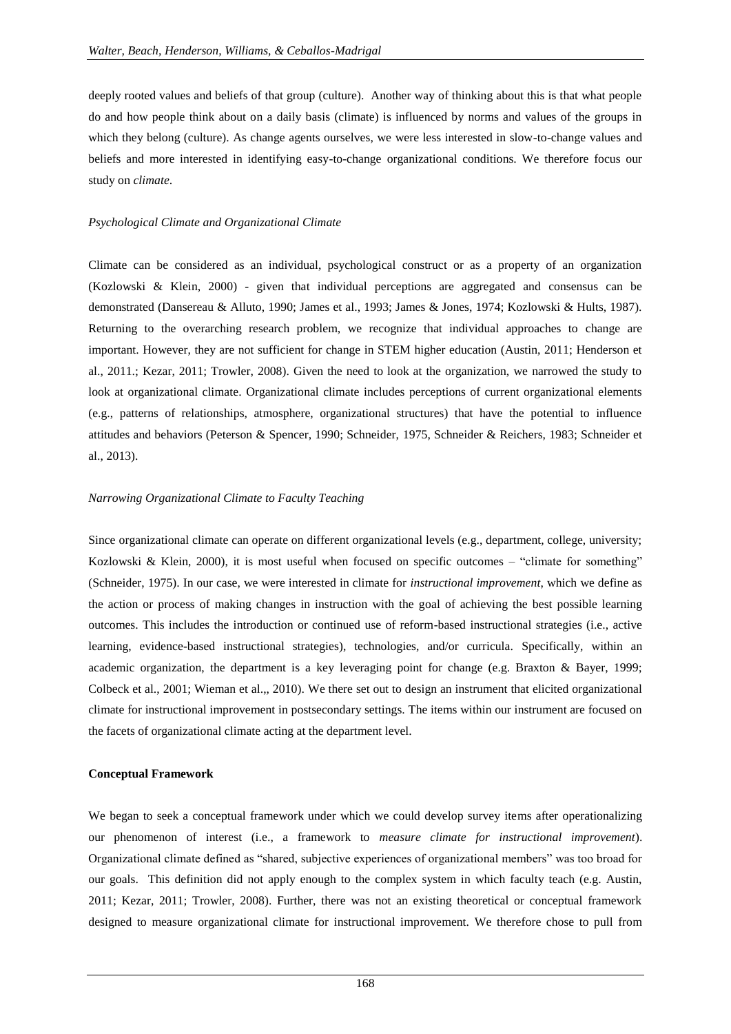deeply rooted values and beliefs of that group (culture). Another way of thinking about this is that what people do and how people think about on a daily basis (climate) is influenced by norms and values of the groups in which they belong (culture). As change agents ourselves, we were less interested in slow-to-change values and beliefs and more interested in identifying easy-to-change organizational conditions. We therefore focus our study on *climate*.

### *Psychological Climate and Organizational Climate*

Climate can be considered as an individual, psychological construct or as a property of an organization (Kozlowski & Klein, 2000) - given that individual perceptions are aggregated and consensus can be demonstrated (Dansereau & Alluto, 1990; James et al., 1993; James & Jones, 1974; Kozlowski & Hults, 1987). Returning to the overarching research problem, we recognize that individual approaches to change are important. However, they are not sufficient for change in STEM higher education (Austin, 2011; Henderson et al., 2011.; Kezar, 2011; Trowler, 2008). Given the need to look at the organization, we narrowed the study to look at organizational climate. Organizational climate includes perceptions of current organizational elements (e.g., patterns of relationships, atmosphere, organizational structures) that have the potential to influence attitudes and behaviors (Peterson & Spencer, 1990; Schneider, 1975, Schneider & Reichers, 1983; Schneider et al., 2013).

### *Narrowing Organizational Climate to Faculty Teaching*

Since organizational climate can operate on different organizational levels (e.g., department, college, university; Kozlowski & Klein, 2000), it is most useful when focused on specific outcomes – "climate for something" (Schneider, 1975). In our case, we were interested in climate for *instructional improvement*, which we define as the action or process of making changes in instruction with the goal of achieving the best possible learning outcomes. This includes the introduction or continued use of reform-based instructional strategies (i.e., active learning, evidence-based instructional strategies), technologies, and/or curricula. Specifically, within an academic organization, the department is a key leveraging point for change (e.g. Braxton & Bayer, 1999; Colbeck et al., 2001; Wieman et al.,, 2010). We there set out to design an instrument that elicited organizational climate for instructional improvement in postsecondary settings. The items within our instrument are focused on the facets of organizational climate acting at the department level.

### **Conceptual Framework**

We began to seek a conceptual framework under which we could develop survey items after operationalizing our phenomenon of interest (i.e., a framework to *measure climate for instructional improvement*). Organizational climate defined as "shared, subjective experiences of organizational members" was too broad for our goals. This definition did not apply enough to the complex system in which faculty teach (e.g. Austin, 2011; Kezar, 2011; Trowler, 2008). Further, there was not an existing theoretical or conceptual framework designed to measure organizational climate for instructional improvement. We therefore chose to pull from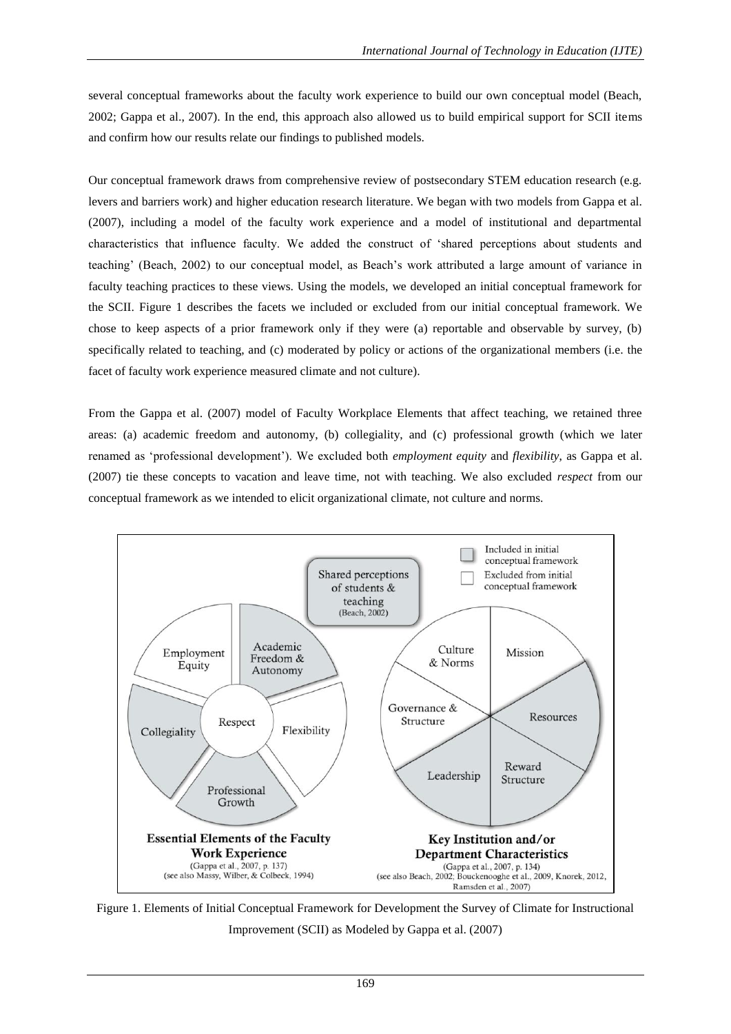several conceptual frameworks about the faculty work experience to build our own conceptual model (Beach, 2002; Gappa et al., 2007). In the end, this approach also allowed us to build empirical support for SCII items and confirm how our results relate our findings to published models.

Our conceptual framework draws from comprehensive review of postsecondary STEM education research (e.g. levers and barriers work) and higher education research literature. We began with two models from Gappa et al. (2007), including a model of the faculty work experience and a model of institutional and departmental characteristics that influence faculty. We added the construct of "shared perceptions about students and teaching" (Beach, 2002) to our conceptual model, as Beach"s work attributed a large amount of variance in faculty teaching practices to these views. Using the models, we developed an initial conceptual framework for the SCII. Figure 1 describes the facets we included or excluded from our initial conceptual framework. We chose to keep aspects of a prior framework only if they were (a) reportable and observable by survey, (b) specifically related to teaching, and (c) moderated by policy or actions of the organizational members (i.e. the facet of faculty work experience measured climate and not culture).

From the Gappa et al. (2007) model of Faculty Workplace Elements that affect teaching, we retained three areas: (a) academic freedom and autonomy, (b) collegiality, and (c) professional growth (which we later renamed as "professional development"). We excluded both *employment equity* and *flexibility*, as Gappa et al. (2007) tie these concepts to vacation and leave time, not with teaching. We also excluded *respect* from our conceptual framework as we intended to elicit organizational climate, not culture and norms.



Figure 1. Elements of Initial Conceptual Framework for Development the Survey of Climate for Instructional Improvement (SCII) as Modeled by Gappa et al. (2007)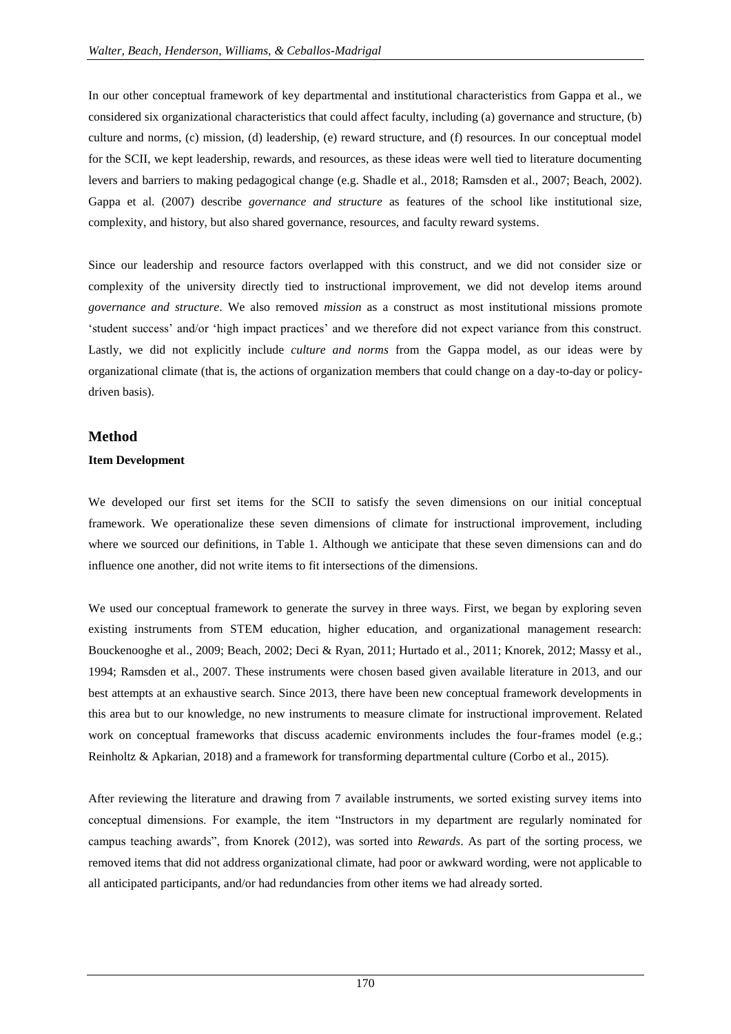In our other conceptual framework of key departmental and institutional characteristics from Gappa et al., we considered six organizational characteristics that could affect faculty, including (a) governance and structure, (b) culture and norms, (c) mission, (d) leadership, (e) reward structure, and (f) resources. In our conceptual model for the SCII, we kept leadership, rewards, and resources, as these ideas were well tied to literature documenting levers and barriers to making pedagogical change (e.g. Shadle et al., 2018; Ramsden et al., 2007; Beach, 2002). Gappa et al. (2007) describe *governance and structure* as features of the school like institutional size, complexity, and history, but also shared governance, resources, and faculty reward systems.

Since our leadership and resource factors overlapped with this construct, and we did not consider size or complexity of the university directly tied to instructional improvement, we did not develop items around *governance and structure*. We also removed *mission* as a construct as most institutional missions promote "student success" and/or "high impact practices" and we therefore did not expect variance from this construct. Lastly, we did not explicitly include *culture and norms* from the Gappa model, as our ideas were by organizational climate (that is, the actions of organization members that could change on a day-to-day or policydriven basis).

# **Method**

# **Item Development**

We developed our first set items for the SCII to satisfy the seven dimensions on our initial conceptual framework. We operationalize these seven dimensions of climate for instructional improvement, including where we sourced our definitions, in Table 1. Although we anticipate that these seven dimensions can and do influence one another, did not write items to fit intersections of the dimensions.

We used our conceptual framework to generate the survey in three ways. First, we began by exploring seven existing instruments from STEM education, higher education, and organizational management research: Bouckenooghe et al., 2009; Beach, 2002; Deci & Ryan, 2011; Hurtado et al., 2011; Knorek, 2012; Massy et al., 1994; Ramsden et al., 2007. These instruments were chosen based given available literature in 2013, and our best attempts at an exhaustive search. Since 2013, there have been new conceptual framework developments in this area but to our knowledge, no new instruments to measure climate for instructional improvement. Related work on conceptual frameworks that discuss academic environments includes the four-frames model (e.g.; Reinholtz & Apkarian, 2018) and a framework for transforming departmental culture (Corbo et al., 2015).

After reviewing the literature and drawing from 7 available instruments, we sorted existing survey items into conceptual dimensions. For example, the item "Instructors in my department are regularly nominated for campus teaching awards", from Knorek (2012), was sorted into *Rewards*. As part of the sorting process, we removed items that did not address organizational climate, had poor or awkward wording, were not applicable to all anticipated participants, and/or had redundancies from other items we had already sorted.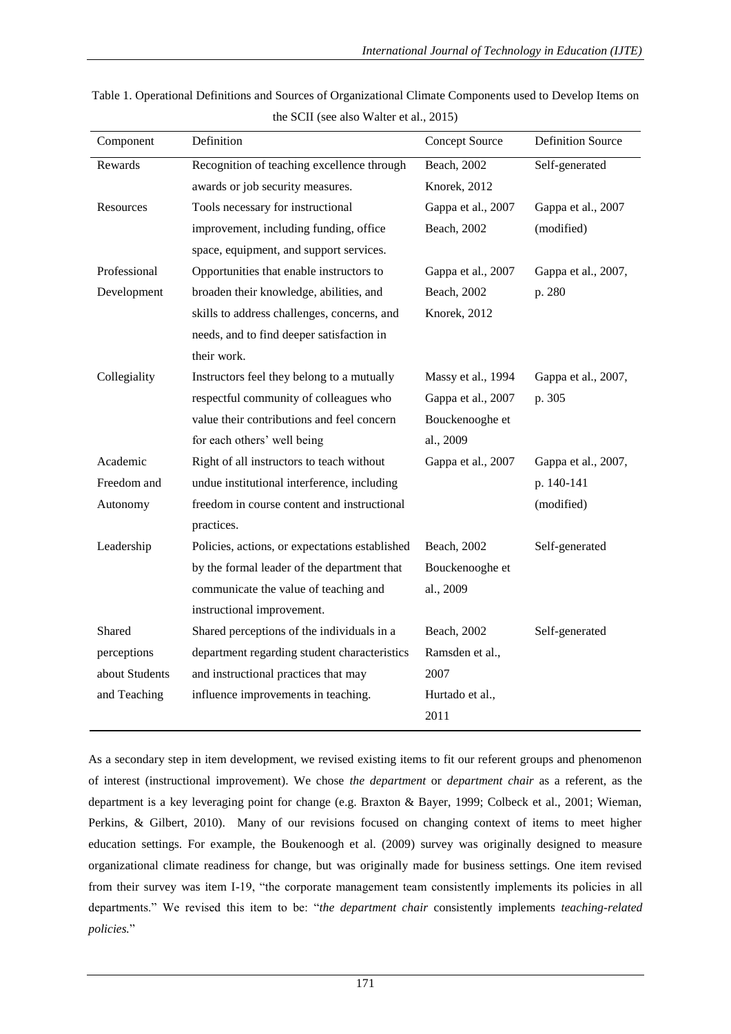| Component      | Definition                                     | <b>Concept Source</b> | <b>Definition Source</b> |
|----------------|------------------------------------------------|-----------------------|--------------------------|
| Rewards        | Recognition of teaching excellence through     | Beach, 2002           | Self-generated           |
|                | awards or job security measures.               | Knorek, 2012          |                          |
| Resources      | Tools necessary for instructional              | Gappa et al., 2007    | Gappa et al., 2007       |
|                | improvement, including funding, office         | Beach, 2002           | (modified)               |
|                | space, equipment, and support services.        |                       |                          |
| Professional   | Opportunities that enable instructors to       | Gappa et al., 2007    | Gappa et al., 2007,      |
| Development    | broaden their knowledge, abilities, and        | Beach, 2002           | p. 280                   |
|                | skills to address challenges, concerns, and    | Knorek, 2012          |                          |
|                | needs, and to find deeper satisfaction in      |                       |                          |
|                | their work.                                    |                       |                          |
| Collegiality   | Instructors feel they belong to a mutually     | Massy et al., 1994    | Gappa et al., 2007,      |
|                | respectful community of colleagues who         | Gappa et al., 2007    | p. 305                   |
|                | value their contributions and feel concern     | Bouckenooghe et       |                          |
|                | for each others' well being                    | al., 2009             |                          |
| Academic       | Right of all instructors to teach without      | Gappa et al., 2007    | Gappa et al., 2007,      |
| Freedom and    | undue institutional interference, including    |                       | p. 140-141               |
| Autonomy       | freedom in course content and instructional    |                       | (modified)               |
|                | practices.                                     |                       |                          |
| Leadership     | Policies, actions, or expectations established | Beach, 2002           | Self-generated           |
|                | by the formal leader of the department that    | Bouckenooghe et       |                          |
|                | communicate the value of teaching and          | al., 2009             |                          |
|                | instructional improvement.                     |                       |                          |
| Shared         | Shared perceptions of the individuals in a     | Beach, 2002           | Self-generated           |
| perceptions    | department regarding student characteristics   | Ramsden et al.,       |                          |
| about Students | and instructional practices that may           | 2007                  |                          |
| and Teaching   | influence improvements in teaching.            | Hurtado et al.,       |                          |
|                |                                                | 2011                  |                          |
|                |                                                |                       |                          |

Table 1. Operational Definitions and Sources of Organizational Climate Components used to Develop Items on the SCII (see also Walter et al., 2015)

As a secondary step in item development, we revised existing items to fit our referent groups and phenomenon of interest (instructional improvement). We chose *the department* or *department chair* as a referent, as the department is a key leveraging point for change (e.g. Braxton & Bayer, 1999; Colbeck et al., 2001; Wieman, Perkins, & Gilbert, 2010). Many of our revisions focused on changing context of items to meet higher education settings. For example, the Boukenoogh et al. (2009) survey was originally designed to measure organizational climate readiness for change, but was originally made for business settings. One item revised from their survey was item I-19, "the corporate management team consistently implements its policies in all departments." We revised this item to be: "*the department chair* consistently implements *teaching-related policies.*"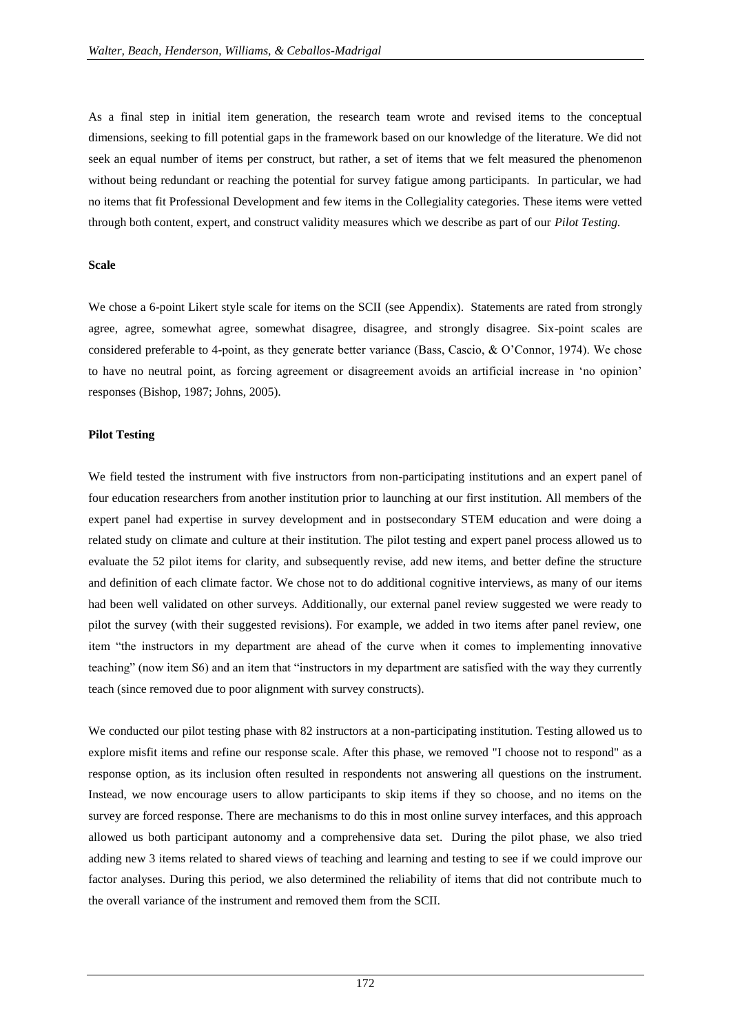As a final step in initial item generation, the research team wrote and revised items to the conceptual dimensions, seeking to fill potential gaps in the framework based on our knowledge of the literature. We did not seek an equal number of items per construct, but rather, a set of items that we felt measured the phenomenon without being redundant or reaching the potential for survey fatigue among participants. In particular, we had no items that fit Professional Development and few items in the Collegiality categories. These items were vetted through both content, expert, and construct validity measures which we describe as part of our *Pilot Testing.*

### **Scale**

We chose a 6-point Likert style scale for items on the SCII (see Appendix). Statements are rated from strongly agree, agree, somewhat agree, somewhat disagree, disagree, and strongly disagree. Six-point scales are considered preferable to 4-point, as they generate better variance (Bass, Cascio, & O"Connor, 1974). We chose to have no neutral point, as forcing agreement or disagreement avoids an artificial increase in "no opinion" responses (Bishop, 1987; Johns, 2005).

### **Pilot Testing**

We field tested the instrument with five instructors from non-participating institutions and an expert panel of four education researchers from another institution prior to launching at our first institution. All members of the expert panel had expertise in survey development and in postsecondary STEM education and were doing a related study on climate and culture at their institution. The pilot testing and expert panel process allowed us to evaluate the 52 pilot items for clarity, and subsequently revise, add new items, and better define the structure and definition of each climate factor. We chose not to do additional cognitive interviews, as many of our items had been well validated on other surveys. Additionally, our external panel review suggested we were ready to pilot the survey (with their suggested revisions). For example, we added in two items after panel review, one item "the instructors in my department are ahead of the curve when it comes to implementing innovative teaching" (now item S6) and an item that "instructors in my department are satisfied with the way they currently teach (since removed due to poor alignment with survey constructs).

We conducted our pilot testing phase with 82 instructors at a non-participating institution. Testing allowed us to explore misfit items and refine our response scale. After this phase, we removed "I choose not to respond" as a response option, as its inclusion often resulted in respondents not answering all questions on the instrument. Instead, we now encourage users to allow participants to skip items if they so choose, and no items on the survey are forced response. There are mechanisms to do this in most online survey interfaces, and this approach allowed us both participant autonomy and a comprehensive data set. During the pilot phase, we also tried adding new 3 items related to shared views of teaching and learning and testing to see if we could improve our factor analyses. During this period, we also determined the reliability of items that did not contribute much to the overall variance of the instrument and removed them from the SCII.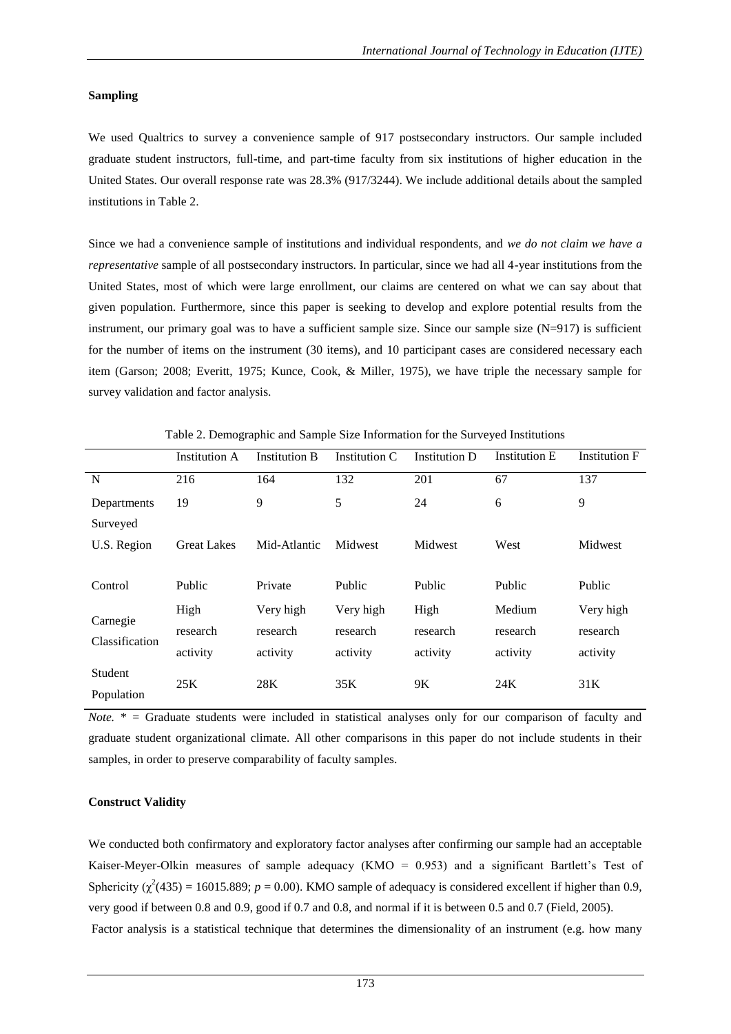# **Sampling**

We used Qualtrics to survey a convenience sample of 917 postsecondary instructors. Our sample included graduate student instructors, full-time, and part-time faculty from six institutions of higher education in the United States. Our overall response rate was 28.3% (917/3244). We include additional details about the sampled institutions in Table 2.

Since we had a convenience sample of institutions and individual respondents, and *we do not claim we have a representative* sample of all postsecondary instructors. In particular, since we had all 4-year institutions from the United States, most of which were large enrollment, our claims are centered on what we can say about that given population. Furthermore, since this paper is seeking to develop and explore potential results from the instrument, our primary goal was to have a sufficient sample size. Since our sample size  $(N=917)$  is sufficient for the number of items on the instrument (30 items), and 10 participant cases are considered necessary each item (Garson; 2008; Everitt, 1975; Kunce, Cook, & Miller, 1975), we have triple the necessary sample for survey validation and factor analysis.

|                            | <b>Institution A</b> | <b>Institution B</b> | Institution C | Institution D | <b>Institution E</b> | <b>Institution F</b> |
|----------------------------|----------------------|----------------------|---------------|---------------|----------------------|----------------------|
| N                          | 216                  | 164                  | 132           | 201           | 67                   | 137                  |
| Departments                | 19                   | 9                    | 5             | 24            | 6                    | 9                    |
| Surveyed                   |                      |                      |               |               |                      |                      |
| U.S. Region                | <b>Great Lakes</b>   | Mid-Atlantic         | Midwest       | Midwest       | West                 | Midwest              |
|                            |                      |                      |               |               |                      |                      |
| Control                    | Public               | Private              | Public        | Public        | Public               | Public               |
|                            | High                 | Very high            | Very high     | High          | Medium               | Very high            |
| Carnegie<br>Classification | research             | research             | research      | research      | research             | research             |
|                            | activity             | activity             | activity      | activity      | activity             | activity             |
| Student                    | 25K                  | 28K                  | 35K           | 9K            | 24K                  | 31K                  |
| Population                 |                      |                      |               |               |                      |                      |

Table 2. Demographic and Sample Size Information for the Surveyed Institutions

*Note.* \* = Graduate students were included in statistical analyses only for our comparison of faculty and graduate student organizational climate. All other comparisons in this paper do not include students in their samples, in order to preserve comparability of faculty samples.

# **Construct Validity**

We conducted both confirmatory and exploratory factor analyses after confirming our sample had an acceptable Kaiser-Meyer-Olkin measures of sample adequacy (KMO =  $0.953$ ) and a significant Bartlett's Test of Sphericity ( $\chi^2$ (435) = 16015.889; *p* = 0.00). KMO sample of adequacy is considered excellent if higher than 0.9, very good if between 0.8 and 0.9, good if 0.7 and 0.8, and normal if it is between 0.5 and 0.7 (Field, 2005). Factor analysis is a statistical technique that determines the dimensionality of an instrument (e.g. how many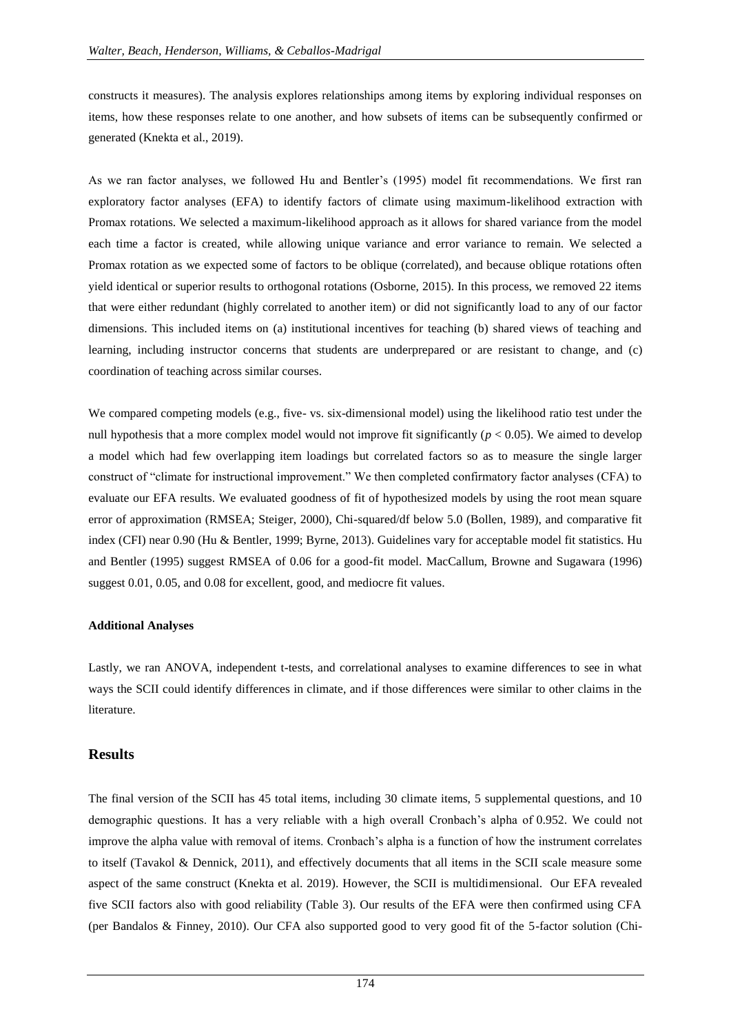constructs it measures). The analysis explores relationships among items by exploring individual responses on items, how these responses relate to one another, and how subsets of items can be subsequently confirmed or generated (Knekta et al., 2019).

As we ran factor analyses, we followed Hu and Bentler"s (1995) model fit recommendations. We first ran exploratory factor analyses (EFA) to identify factors of climate using maximum-likelihood extraction with Promax rotations. We selected a maximum-likelihood approach as it allows for shared variance from the model each time a factor is created, while allowing unique variance and error variance to remain. We selected a Promax rotation as we expected some of factors to be oblique (correlated), and because oblique rotations often yield identical or superior results to orthogonal rotations (Osborne, 2015). In this process, we removed 22 items that were either redundant (highly correlated to another item) or did not significantly load to any of our factor dimensions. This included items on (a) institutional incentives for teaching (b) shared views of teaching and learning, including instructor concerns that students are underprepared or are resistant to change, and (c) coordination of teaching across similar courses.

We compared competing models (e.g., five- vs. six-dimensional model) using the likelihood ratio test under the null hypothesis that a more complex model would not improve fit significantly  $(p < 0.05)$ . We aimed to develop a model which had few overlapping item loadings but correlated factors so as to measure the single larger construct of "climate for instructional improvement." We then completed confirmatory factor analyses (CFA) to evaluate our EFA results. We evaluated goodness of fit of hypothesized models by using the root mean square error of approximation (RMSEA; Steiger, 2000), Chi-squared/df below 5.0 (Bollen, 1989), and comparative fit index (CFI) near 0.90 (Hu & Bentler, 1999; Byrne, 2013). Guidelines vary for acceptable model fit statistics. Hu and Bentler (1995) suggest RMSEA of 0.06 for a good-fit model. MacCallum, Browne and Sugawara (1996) suggest 0.01, 0.05, and 0.08 for excellent, good, and mediocre fit values.

# **Additional Analyses**

Lastly, we ran ANOVA, independent t-tests, and correlational analyses to examine differences to see in what ways the SCII could identify differences in climate, and if those differences were similar to other claims in the literature.

# **Results**

The final version of the SCII has 45 total items, including 30 climate items, 5 supplemental questions, and 10 demographic questions. It has a very reliable with a high overall Cronbach"s alpha of 0.952. We could not improve the alpha value with removal of items. Cronbach"s alpha is a function of how the instrument correlates to itself (Tavakol & Dennick, 2011), and effectively documents that all items in the SCII scale measure some aspect of the same construct (Knekta et al. 2019). However, the SCII is multidimensional. Our EFA revealed five SCII factors also with good reliability (Table 3). Our results of the EFA were then confirmed using CFA (per Bandalos & Finney, 2010). Our CFA also supported good to very good fit of the 5-factor solution (Chi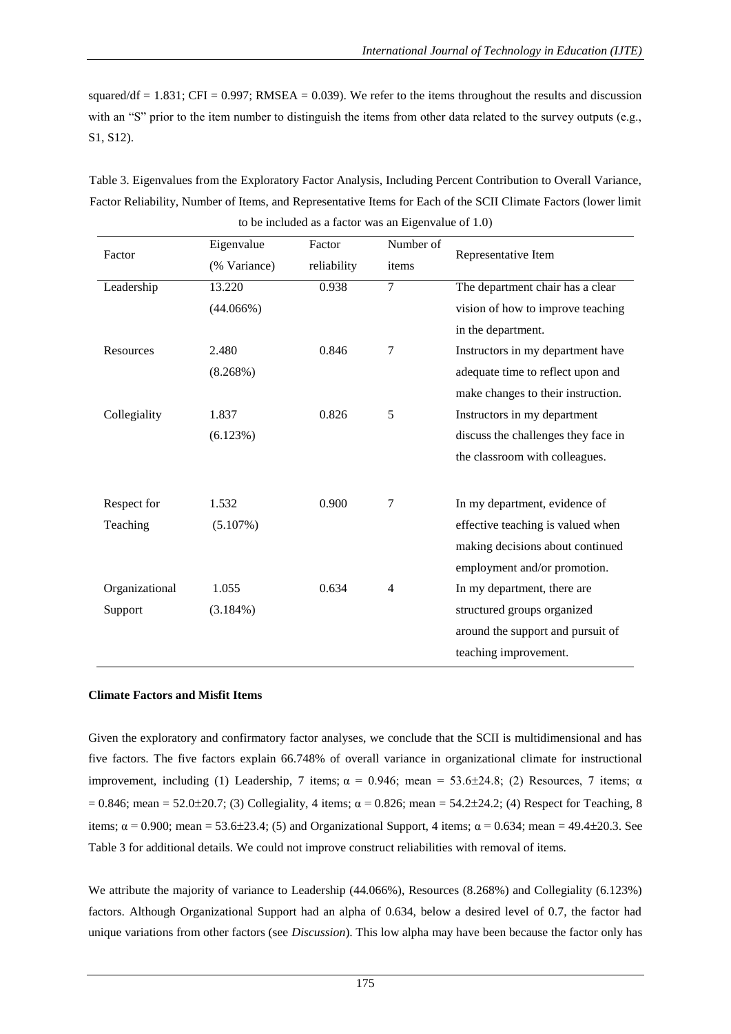squared/df =  $1.831$ ; CFI = 0.997; RMSEA = 0.039). We refer to the items throughout the results and discussion with an "S" prior to the item number to distinguish the items from other data related to the survey outputs (e.g., S1, S12).

| Table 3. Eigenvalues from the Exploratory Factor Analysis, Including Percent Contribution to Overall Variance,  |
|-----------------------------------------------------------------------------------------------------------------|
| Factor Reliability, Number of Items, and Representative Items for Each of the SCII Climate Factors (lower limit |
| to be included as a factor was an Eigenvalue of $1.0$ )                                                         |

| Factor         | Eigenvalue   | Factor      | Number of      | Representative Item                 |
|----------------|--------------|-------------|----------------|-------------------------------------|
|                | (% Variance) | reliability | items          |                                     |
| Leadership     | 13.220       | 0.938       | 7              | The department chair has a clear    |
|                | (44.066%)    |             |                | vision of how to improve teaching   |
|                |              |             |                | in the department.                  |
| Resources      | 2.480        | 0.846       | 7              | Instructors in my department have   |
|                | (8.268%)     |             |                | adequate time to reflect upon and   |
|                |              |             |                | make changes to their instruction.  |
| Collegiality   | 1.837        | 0.826       | 5              | Instructors in my department        |
|                | (6.123%)     |             |                | discuss the challenges they face in |
|                |              |             |                | the classroom with colleagues.      |
|                |              |             |                |                                     |
| Respect for    | 1.532        | 0.900       | 7              | In my department, evidence of       |
| Teaching       | (5.107%)     |             |                | effective teaching is valued when   |
|                |              |             |                | making decisions about continued    |
|                |              |             |                | employment and/or promotion.        |
| Organizational | 1.055        | 0.634       | $\overline{4}$ | In my department, there are         |
| Support        | $(3.184\%)$  |             |                | structured groups organized         |
|                |              |             |                | around the support and pursuit of   |
|                |              |             |                | teaching improvement.               |
|                |              |             |                |                                     |

# **Climate Factors and Misfit Items**

Given the exploratory and confirmatory factor analyses, we conclude that the SCII is multidimensional and has five factors. The five factors explain 66.748% of overall variance in organizational climate for instructional improvement, including (1) Leadership, 7 items;  $\alpha = 0.946$ ; mean = 53.6±24.8; (2) Resources, 7 items;  $\alpha$  $= 0.846$ ; mean = 52.0±20.7; (3) Collegiality, 4 items;  $\alpha = 0.826$ ; mean = 54.2±24.2; (4) Respect for Teaching, 8 items;  $\alpha$  = 0.900; mean = 53.6±23.4; (5) and Organizational Support, 4 items;  $\alpha$  = 0.634; mean = 49.4±20.3. See Table 3 for additional details. We could not improve construct reliabilities with removal of items.

We attribute the majority of variance to Leadership (44.066%), Resources (8.268%) and Collegiality (6.123%) factors. Although Organizational Support had an alpha of 0.634, below a desired level of 0.7, the factor had unique variations from other factors (see *Discussion*). This low alpha may have been because the factor only has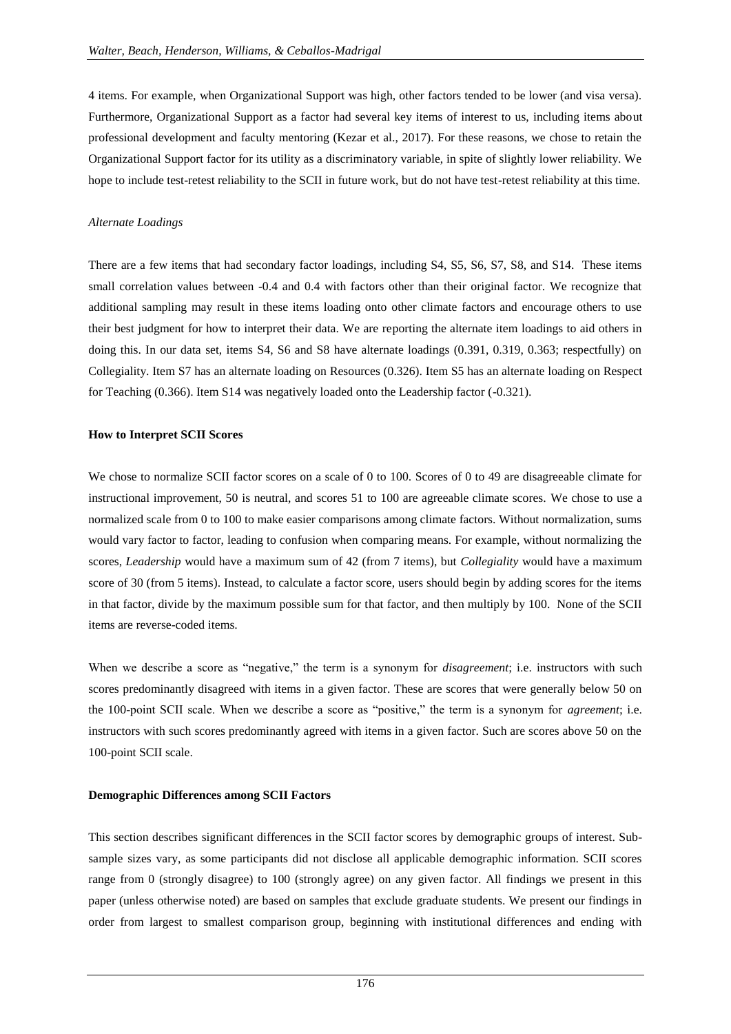4 items. For example, when Organizational Support was high, other factors tended to be lower (and visa versa). Furthermore, Organizational Support as a factor had several key items of interest to us, including items about professional development and faculty mentoring (Kezar et al., 2017). For these reasons, we chose to retain the Organizational Support factor for its utility as a discriminatory variable, in spite of slightly lower reliability. We hope to include test-retest reliability to the SCII in future work, but do not have test-retest reliability at this time.

### *Alternate Loadings*

There are a few items that had secondary factor loadings, including S4, S5, S6, S7, S8, and S14. These items small correlation values between -0.4 and 0.4 with factors other than their original factor. We recognize that additional sampling may result in these items loading onto other climate factors and encourage others to use their best judgment for how to interpret their data. We are reporting the alternate item loadings to aid others in doing this. In our data set, items S4, S6 and S8 have alternate loadings (0.391, 0.319, 0.363; respectfully) on Collegiality. Item S7 has an alternate loading on Resources (0.326). Item S5 has an alternate loading on Respect for Teaching (0.366). Item S14 was negatively loaded onto the Leadership factor (-0.321).

### **How to Interpret SCII Scores**

We chose to normalize SCII factor scores on a scale of 0 to 100. Scores of 0 to 49 are disagreeable climate for instructional improvement, 50 is neutral, and scores 51 to 100 are agreeable climate scores. We chose to use a normalized scale from 0 to 100 to make easier comparisons among climate factors. Without normalization, sums would vary factor to factor, leading to confusion when comparing means. For example, without normalizing the scores, *Leadership* would have a maximum sum of 42 (from 7 items), but *Collegiality* would have a maximum score of 30 (from 5 items). Instead, to calculate a factor score, users should begin by adding scores for the items in that factor, divide by the maximum possible sum for that factor, and then multiply by 100. None of the SCII items are reverse-coded items.

When we describe a score as "negative," the term is a synonym for *disagreement*; i.e. instructors with such scores predominantly disagreed with items in a given factor. These are scores that were generally below 50 on the 100-point SCII scale. When we describe a score as "positive," the term is a synonym for *agreement*; i.e. instructors with such scores predominantly agreed with items in a given factor. Such are scores above 50 on the 100-point SCII scale.

### **Demographic Differences among SCII Factors**

This section describes significant differences in the SCII factor scores by demographic groups of interest. Subsample sizes vary, as some participants did not disclose all applicable demographic information. SCII scores range from 0 (strongly disagree) to 100 (strongly agree) on any given factor. All findings we present in this paper (unless otherwise noted) are based on samples that exclude graduate students. We present our findings in order from largest to smallest comparison group, beginning with institutional differences and ending with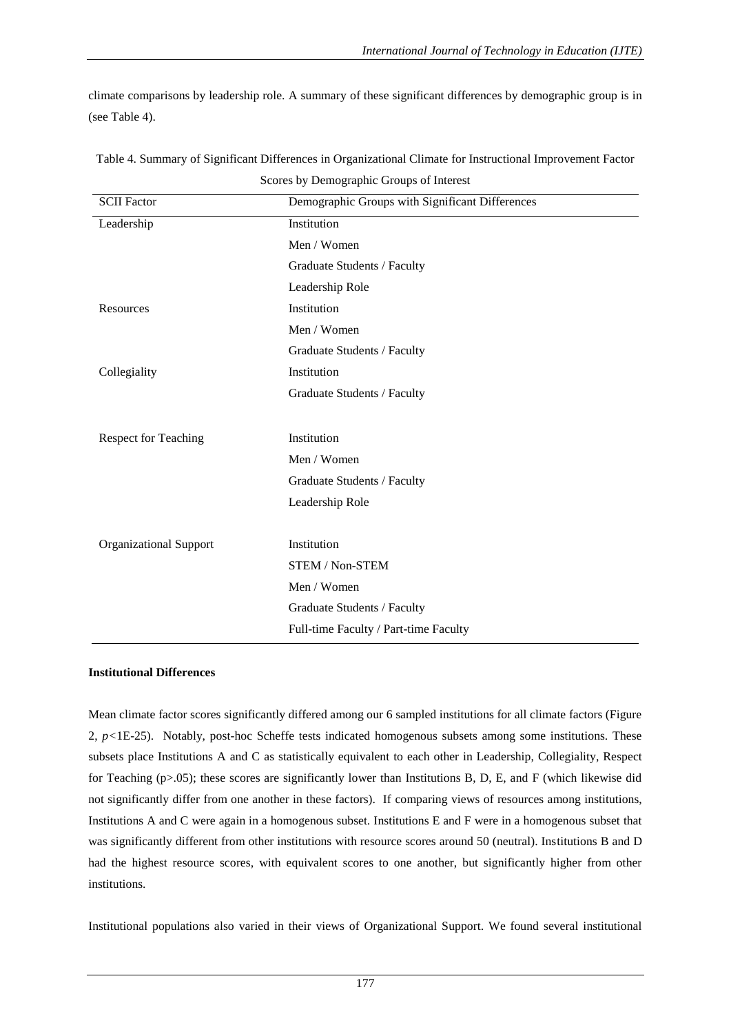climate comparisons by leadership role. A summary of these significant differences by demographic group is in (see Table 4).

| $\frac{1}{2}$                 |                                                 |  |  |  |
|-------------------------------|-------------------------------------------------|--|--|--|
| <b>SCII Factor</b>            | Demographic Groups with Significant Differences |  |  |  |
| Leadership                    | Institution                                     |  |  |  |
|                               | Men / Women                                     |  |  |  |
|                               | Graduate Students / Faculty                     |  |  |  |
|                               | Leadership Role                                 |  |  |  |
| Resources                     | Institution                                     |  |  |  |
|                               | Men / Women                                     |  |  |  |
|                               | Graduate Students / Faculty                     |  |  |  |
| Collegiality                  | Institution                                     |  |  |  |
|                               | Graduate Students / Faculty                     |  |  |  |
|                               |                                                 |  |  |  |
| <b>Respect for Teaching</b>   | Institution                                     |  |  |  |
|                               | Men / Women                                     |  |  |  |
|                               | Graduate Students / Faculty                     |  |  |  |
|                               | Leadership Role                                 |  |  |  |
|                               |                                                 |  |  |  |
| <b>Organizational Support</b> | Institution                                     |  |  |  |
|                               | <b>STEM / Non-STEM</b>                          |  |  |  |
|                               | Men / Women                                     |  |  |  |
|                               | Graduate Students / Faculty                     |  |  |  |
|                               | Full-time Faculty / Part-time Faculty           |  |  |  |
|                               |                                                 |  |  |  |

Table 4. Summary of Significant Differences in Organizational Climate for Instructional Improvement Factor Scores by Demographic Groups of Interest

# **Institutional Differences**

Mean climate factor scores significantly differed among our 6 sampled institutions for all climate factors (Figure 2, *p<*1E-25). Notably, post-hoc Scheffe tests indicated homogenous subsets among some institutions. These subsets place Institutions A and C as statistically equivalent to each other in Leadership, Collegiality, Respect for Teaching (p>.05); these scores are significantly lower than Institutions B, D, E, and F (which likewise did not significantly differ from one another in these factors). If comparing views of resources among institutions, Institutions A and C were again in a homogenous subset. Institutions E and F were in a homogenous subset that was significantly different from other institutions with resource scores around 50 (neutral). Institutions B and D had the highest resource scores, with equivalent scores to one another, but significantly higher from other institutions.

Institutional populations also varied in their views of Organizational Support. We found several institutional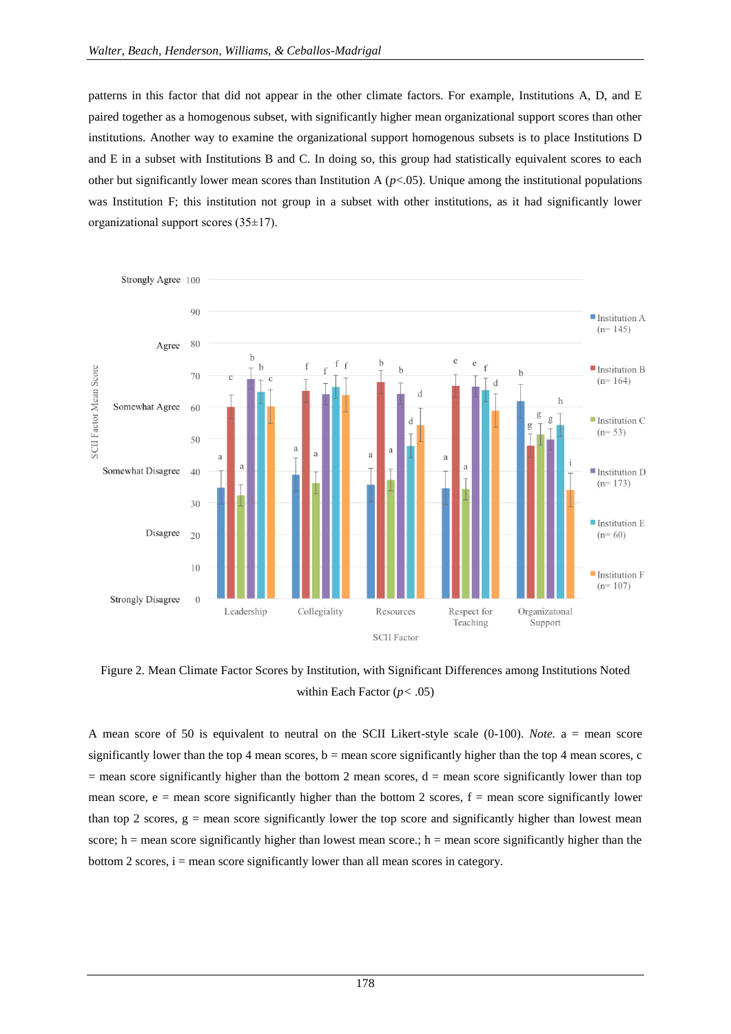patterns in this factor that did not appear in the other climate factors. For example, Institutions A, D, and E paired together as a homogenous subset, with significantly higher mean organizational support scores than other institutions. Another way to examine the organizational support homogenous subsets is to place Institutions D and E in a subset with Institutions B and C. In doing so, this group had statistically equivalent scores to each other but significantly lower mean scores than Institution A (*p*<.05). Unique among the institutional populations was Institution F; this institution not group in a subset with other institutions, as it had significantly lower organizational support scores (35±17).



Figure 2*.* Mean Climate Factor Scores by Institution, with Significant Differences among Institutions Noted within Each Factor (*p<* .05)

A mean score of 50 is equivalent to neutral on the SCII Likert-style scale (0-100). *Note.* a = mean score significantly lower than the top 4 mean scores,  $b =$  mean score significantly higher than the top 4 mean scores, c  $=$  mean score significantly higher than the bottom 2 mean scores,  $d =$  mean score significantly lower than top mean score,  $e =$  mean score significantly higher than the bottom 2 scores,  $f =$  mean score significantly lower than top 2 scores,  $g =$  mean score significantly lower the top score and significantly higher than lowest mean score; h = mean score significantly higher than lowest mean score.; h = mean score significantly higher than the bottom 2 scores,  $i =$  mean score significantly lower than all mean scores in category.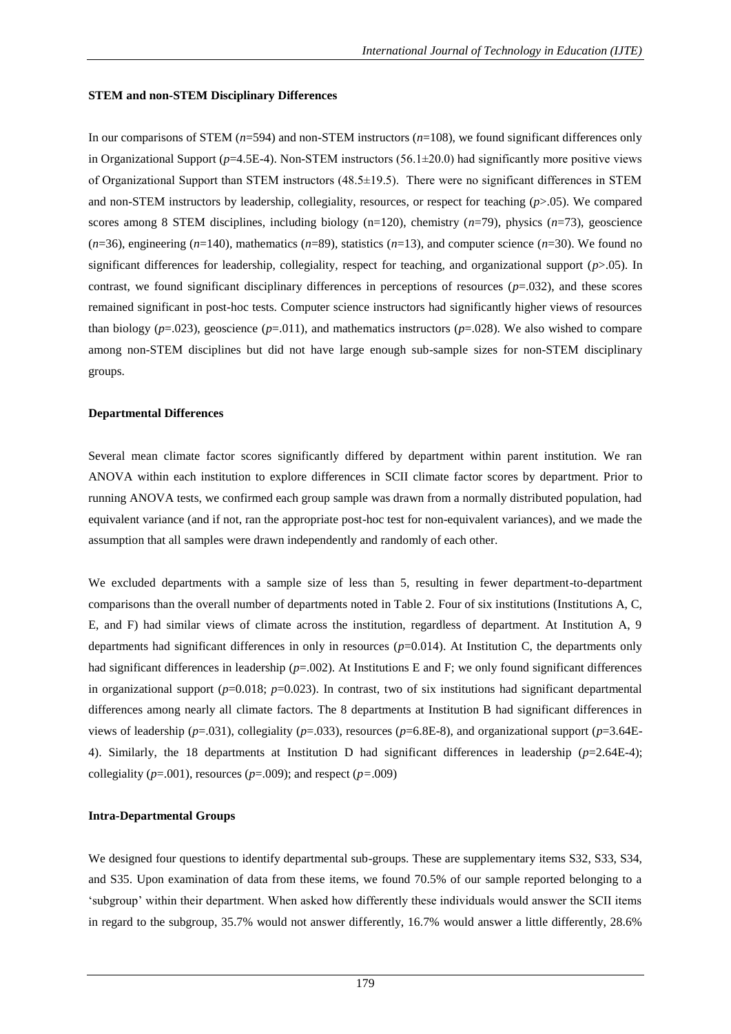### **STEM and non-STEM Disciplinary Differences**

In our comparisons of STEM (*n*=594) and non-STEM instructors (*n*=108), we found significant differences only in Organizational Support (*p*=4.5E-4). Non-STEM instructors (56.1±20.0) had significantly more positive views of Organizational Support than STEM instructors (48.5±19.5). There were no significant differences in STEM and non-STEM instructors by leadership, collegiality, resources, or respect for teaching (*p*>.05). We compared scores among 8 STEM disciplines, including biology (n=120), chemistry (*n*=79), physics (*n*=73), geoscience  $(n=36)$ , engineering  $(n=140)$ , mathematics  $(n=89)$ , statistics  $(n=13)$ , and computer science  $(n=30)$ . We found no significant differences for leadership, collegiality, respect for teaching, and organizational support (*p*>.05). In contrast, we found significant disciplinary differences in perceptions of resources  $(p=0.032)$ , and these scores remained significant in post-hoc tests. Computer science instructors had significantly higher views of resources than biology ( $p=0.023$ ), geoscience ( $p=0.011$ ), and mathematics instructors ( $p=0.028$ ). We also wished to compare among non-STEM disciplines but did not have large enough sub-sample sizes for non-STEM disciplinary groups.

### **Departmental Differences**

Several mean climate factor scores significantly differed by department within parent institution. We ran ANOVA within each institution to explore differences in SCII climate factor scores by department. Prior to running ANOVA tests, we confirmed each group sample was drawn from a normally distributed population, had equivalent variance (and if not, ran the appropriate post-hoc test for non-equivalent variances), and we made the assumption that all samples were drawn independently and randomly of each other.

We excluded departments with a sample size of less than 5, resulting in fewer department-to-department comparisons than the overall number of departments noted in Table 2. Four of six institutions (Institutions A, C, E, and F) had similar views of climate across the institution, regardless of department. At Institution A, 9 departments had significant differences in only in resources ( $p=0.014$ ). At Institution C, the departments only had significant differences in leadership ( $p=002$ ). At Institutions E and F; we only found significant differences in organizational support  $(p=0.018; p=0.023)$ . In contrast, two of six institutions had significant departmental differences among nearly all climate factors. The 8 departments at Institution B had significant differences in views of leadership (*p*=.031), collegiality (*p*=.033), resources (*p*=6.8E-8), and organizational support (*p*=3.64E-4). Similarly, the 18 departments at Institution D had significant differences in leadership (*p*=2.64E-4); collegiality ( $p=0.001$ ), resources ( $p=0.009$ ); and respect ( $p=0.009$ )

# **Intra-Departmental Groups**

We designed four questions to identify departmental sub-groups. These are supplementary items S32, S33, S34, and S35. Upon examination of data from these items, we found 70.5% of our sample reported belonging to a "subgroup" within their department. When asked how differently these individuals would answer the SCII items in regard to the subgroup, 35.7% would not answer differently, 16.7% would answer a little differently, 28.6%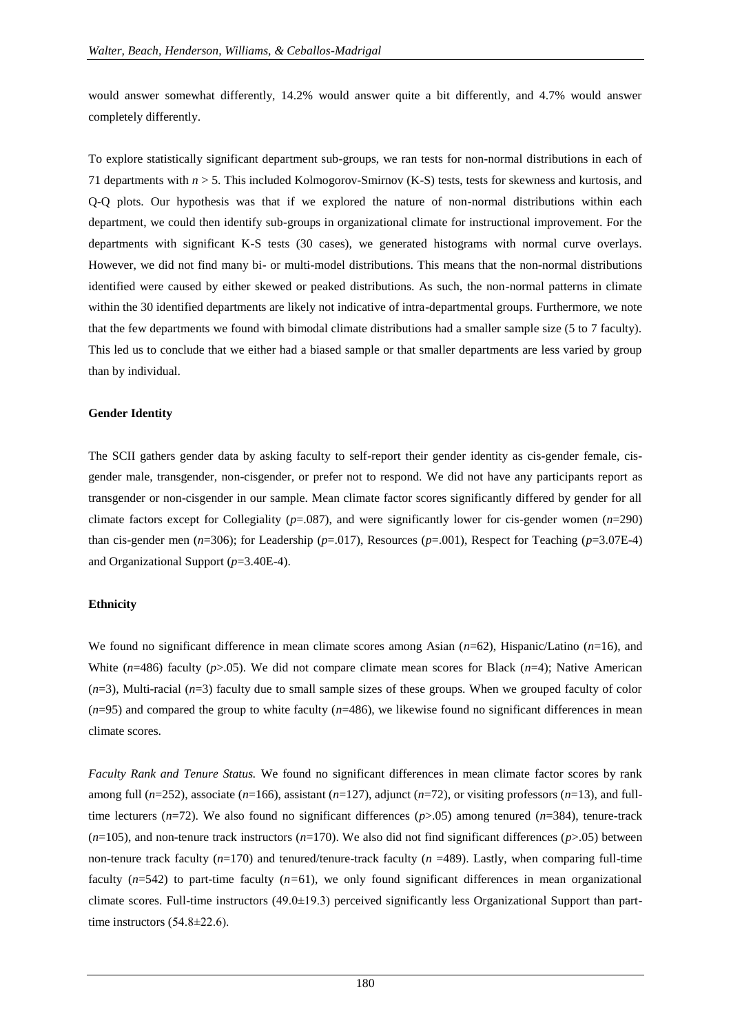would answer somewhat differently, 14.2% would answer quite a bit differently, and 4.7% would answer completely differently.

To explore statistically significant department sub-groups, we ran tests for non-normal distributions in each of 71 departments with *n* > 5. This included Kolmogorov-Smirnov (K-S) tests, tests for skewness and kurtosis, and Q-Q plots. Our hypothesis was that if we explored the nature of non-normal distributions within each department, we could then identify sub-groups in organizational climate for instructional improvement. For the departments with significant K-S tests (30 cases), we generated histograms with normal curve overlays. However, we did not find many bi- or multi-model distributions. This means that the non-normal distributions identified were caused by either skewed or peaked distributions. As such, the non-normal patterns in climate within the 30 identified departments are likely not indicative of intra-departmental groups. Furthermore, we note that the few departments we found with bimodal climate distributions had a smaller sample size (5 to 7 faculty). This led us to conclude that we either had a biased sample or that smaller departments are less varied by group than by individual.

#### **Gender Identity**

The SCII gathers gender data by asking faculty to self-report their gender identity as cis-gender female, cisgender male, transgender, non-cisgender, or prefer not to respond. We did not have any participants report as transgender or non-cisgender in our sample. Mean climate factor scores significantly differed by gender for all climate factors except for Collegiality (*p*=.087), and were significantly lower for cis-gender women (*n*=290) than cis-gender men ( $n=306$ ); for Leadership ( $p=.017$ ), Resources ( $p=.001$ ), Respect for Teaching ( $p=.3.07E-4$ ) and Organizational Support (*p*=3.40E-4).

#### **Ethnicity**

We found no significant difference in mean climate scores among Asian (*n*=62), Hispanic/Latino (*n*=16), and White (*n*=486) faculty (*p*>.05). We did not compare climate mean scores for Black (*n*=4); Native American (*n*=3), Multi-racial (*n*=3) faculty due to small sample sizes of these groups. When we grouped faculty of color  $(n=95)$  and compared the group to white faculty  $(n=486)$ , we likewise found no significant differences in mean climate scores.

*Faculty Rank and Tenure Status.* We found no significant differences in mean climate factor scores by rank among full (*n*=252), associate (*n*=166), assistant (*n*=127), adjunct (*n*=72), or visiting professors (*n*=13), and fulltime lecturers ( $n=72$ ). We also found no significant differences ( $p$ >.05) among tenured ( $n=384$ ), tenure-track  $(n=105)$ , and non-tenure track instructors  $(n=170)$ . We also did not find significant differences  $(p>0.05)$  between non-tenure track faculty (*n*=170) and tenured/tenure-track faculty (*n* =489). Lastly, when comparing full-time faculty (*n*=542) to part-time faculty (*n=*61), we only found significant differences in mean organizational climate scores. Full-time instructors (49.0±19.3) perceived significantly less Organizational Support than parttime instructors (54.8±22.6).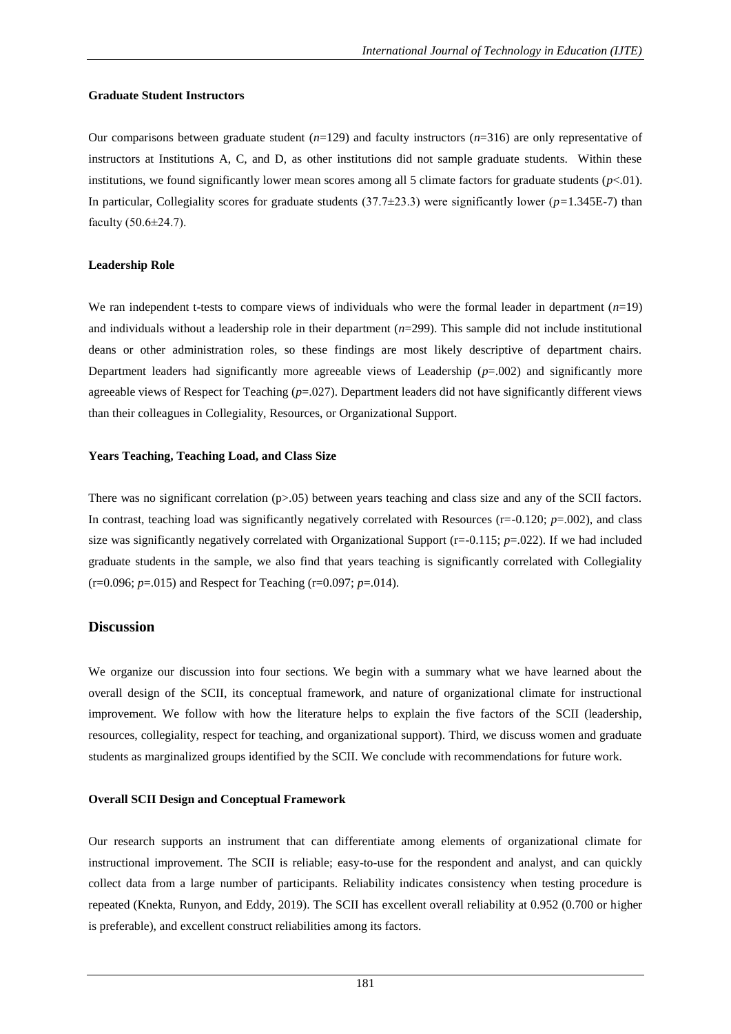### **Graduate Student Instructors**

Our comparisons between graduate student (*n*=129) and faculty instructors (*n*=316) are only representative of instructors at Institutions A, C, and D, as other institutions did not sample graduate students. Within these institutions, we found significantly lower mean scores among all 5 climate factors for graduate students  $(p<01)$ . In particular, Collegiality scores for graduate students  $(37.7\pm 23.3)$  were significantly lower ( $p=1.345E-7$ ) than faculty (50.6±24.7).

### **Leadership Role**

We ran independent t-tests to compare views of individuals who were the formal leader in department (*n*=19) and individuals without a leadership role in their department (*n*=299). This sample did not include institutional deans or other administration roles, so these findings are most likely descriptive of department chairs. Department leaders had significantly more agreeable views of Leadership  $(p=002)$  and significantly more agreeable views of Respect for Teaching (*p*=.027). Department leaders did not have significantly different views than their colleagues in Collegiality, Resources, or Organizational Support.

### **Years Teaching, Teaching Load, and Class Size**

There was no significant correlation (p>.05) between years teaching and class size and any of the SCII factors. In contrast, teaching load was significantly negatively correlated with Resources (r=-0.120; *p*=.002), and class size was significantly negatively correlated with Organizational Support  $(r=-0.115; p=.022)$ . If we had included graduate students in the sample, we also find that years teaching is significantly correlated with Collegiality (r=0.096; *p*=.015) and Respect for Teaching (r=0.097; *p*=.014).

# **Discussion**

We organize our discussion into four sections. We begin with a summary what we have learned about the overall design of the SCII, its conceptual framework, and nature of organizational climate for instructional improvement. We follow with how the literature helps to explain the five factors of the SCII (leadership, resources, collegiality, respect for teaching, and organizational support). Third, we discuss women and graduate students as marginalized groups identified by the SCII. We conclude with recommendations for future work.

# **Overall SCII Design and Conceptual Framework**

Our research supports an instrument that can differentiate among elements of organizational climate for instructional improvement. The SCII is reliable; easy-to-use for the respondent and analyst, and can quickly collect data from a large number of participants. Reliability indicates consistency when testing procedure is repeated (Knekta, Runyon, and Eddy, 2019). The SCII has excellent overall reliability at 0.952 (0.700 or higher is preferable), and excellent construct reliabilities among its factors.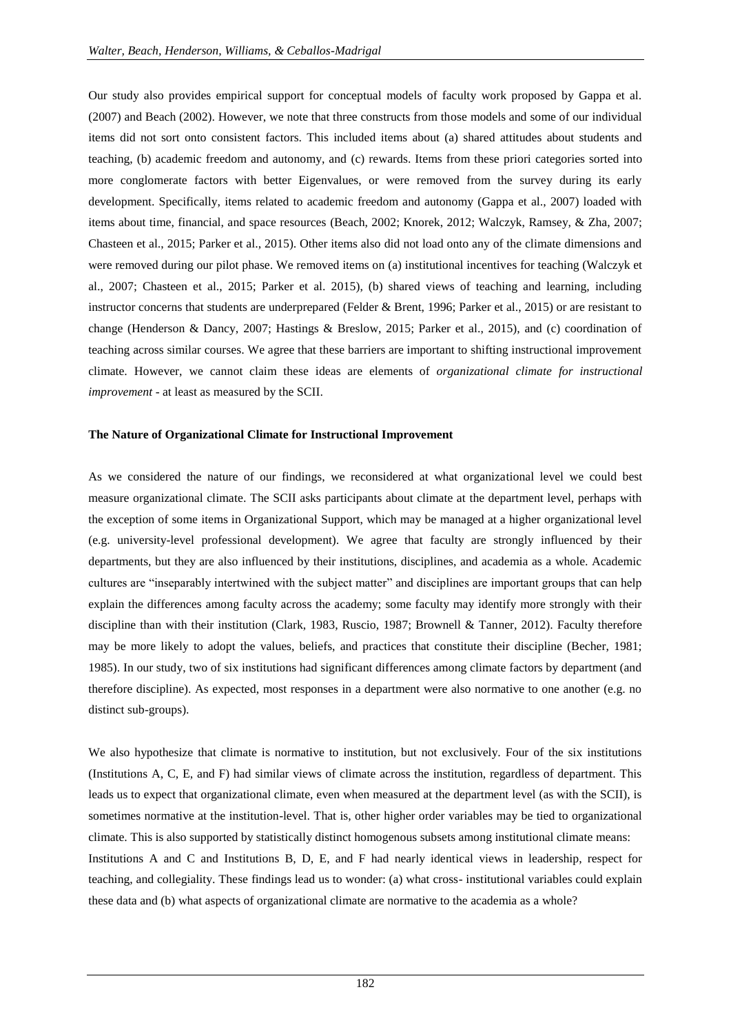Our study also provides empirical support for conceptual models of faculty work proposed by Gappa et al. (2007) and Beach (2002). However, we note that three constructs from those models and some of our individual items did not sort onto consistent factors. This included items about (a) shared attitudes about students and teaching, (b) academic freedom and autonomy, and (c) rewards. Items from these priori categories sorted into more conglomerate factors with better Eigenvalues, or were removed from the survey during its early development. Specifically, items related to academic freedom and autonomy (Gappa et al., 2007) loaded with items about time, financial, and space resources (Beach, 2002; Knorek, 2012; Walczyk, Ramsey, & Zha, 2007; Chasteen et al., 2015; Parker et al., 2015). Other items also did not load onto any of the climate dimensions and were removed during our pilot phase. We removed items on (a) institutional incentives for teaching (Walczyk et al., 2007; Chasteen et al., 2015; Parker et al. 2015), (b) shared views of teaching and learning, including instructor concerns that students are underprepared (Felder & Brent, 1996; Parker et al., 2015) or are resistant to change (Henderson & Dancy, 2007; Hastings & Breslow, 2015; Parker et al., 2015), and (c) coordination of teaching across similar courses. We agree that these barriers are important to shifting instructional improvement climate. However, we cannot claim these ideas are elements of *organizational climate for instructional improvement* - at least as measured by the SCII.

#### **The Nature of Organizational Climate for Instructional Improvement**

As we considered the nature of our findings, we reconsidered at what organizational level we could best measure organizational climate. The SCII asks participants about climate at the department level, perhaps with the exception of some items in Organizational Support, which may be managed at a higher organizational level (e.g. university-level professional development). We agree that faculty are strongly influenced by their departments, but they are also influenced by their institutions, disciplines, and academia as a whole. Academic cultures are "inseparably intertwined with the subject matter" and disciplines are important groups that can help explain the differences among faculty across the academy; some faculty may identify more strongly with their discipline than with their institution (Clark, 1983, Ruscio, 1987; Brownell & Tanner, 2012). Faculty therefore may be more likely to adopt the values, beliefs, and practices that constitute their discipline (Becher, 1981; 1985). In our study, two of six institutions had significant differences among climate factors by department (and therefore discipline). As expected, most responses in a department were also normative to one another (e.g. no distinct sub-groups).

We also hypothesize that climate is normative to institution, but not exclusively. Four of the six institutions (Institutions A, C, E, and F) had similar views of climate across the institution, regardless of department. This leads us to expect that organizational climate, even when measured at the department level (as with the SCII), is sometimes normative at the institution-level. That is, other higher order variables may be tied to organizational climate. This is also supported by statistically distinct homogenous subsets among institutional climate means: Institutions A and C and Institutions B, D, E, and F had nearly identical views in leadership, respect for teaching, and collegiality. These findings lead us to wonder: (a) what cross- institutional variables could explain these data and (b) what aspects of organizational climate are normative to the academia as a whole?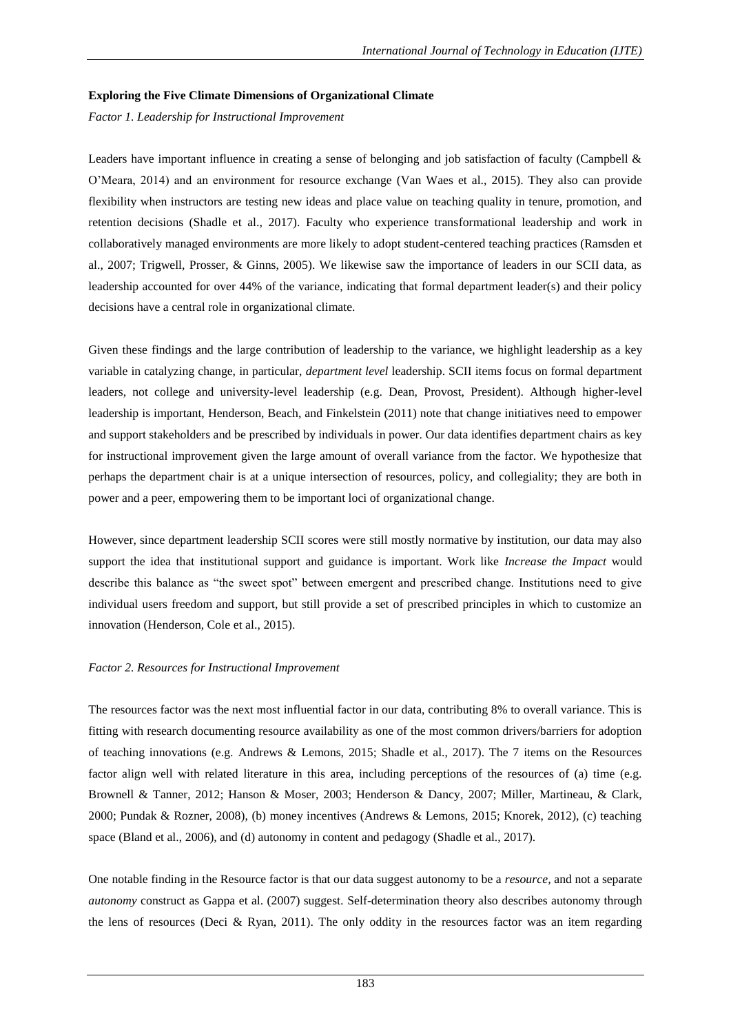### **Exploring the Five Climate Dimensions of Organizational Climate**

*Factor 1. Leadership for Instructional Improvement*

Leaders have important influence in creating a sense of belonging and job satisfaction of faculty (Campbell & O"Meara, 2014) and an environment for resource exchange (Van Waes et al., 2015). They also can provide flexibility when instructors are testing new ideas and place value on teaching quality in tenure, promotion, and retention decisions (Shadle et al., 2017). Faculty who experience transformational leadership and work in collaboratively managed environments are more likely to adopt student-centered teaching practices (Ramsden et al., 2007; Trigwell, Prosser, & Ginns, 2005). We likewise saw the importance of leaders in our SCII data, as leadership accounted for over 44% of the variance, indicating that formal department leader(s) and their policy decisions have a central role in organizational climate.

Given these findings and the large contribution of leadership to the variance, we highlight leadership as a key variable in catalyzing change, in particular, *department level* leadership. SCII items focus on formal department leaders, not college and university-level leadership (e.g. Dean, Provost, President). Although higher-level leadership is important, Henderson, Beach, and Finkelstein (2011) note that change initiatives need to empower and support stakeholders and be prescribed by individuals in power. Our data identifies department chairs as key for instructional improvement given the large amount of overall variance from the factor. We hypothesize that perhaps the department chair is at a unique intersection of resources, policy, and collegiality; they are both in power and a peer, empowering them to be important loci of organizational change.

However, since department leadership SCII scores were still mostly normative by institution, our data may also support the idea that institutional support and guidance is important. Work like *Increase the Impact* would describe this balance as "the sweet spot" between emergent and prescribed change. Institutions need to give individual users freedom and support, but still provide a set of prescribed principles in which to customize an innovation (Henderson, Cole et al., 2015).

# *Factor 2. Resources for Instructional Improvement*

The resources factor was the next most influential factor in our data, contributing 8% to overall variance. This is fitting with research documenting resource availability as one of the most common drivers/barriers for adoption of teaching innovations (e.g. Andrews & Lemons, 2015; Shadle et al., 2017). The 7 items on the Resources factor align well with related literature in this area, including perceptions of the resources of (a) time (e.g. Brownell & Tanner, 2012; Hanson & Moser, 2003; Henderson & Dancy, 2007; Miller, Martineau, & Clark, 2000; Pundak & Rozner, 2008), (b) money incentives (Andrews & Lemons, 2015; Knorek, 2012), (c) teaching space (Bland et al., 2006), and (d) autonomy in content and pedagogy (Shadle et al., 2017).

One notable finding in the Resource factor is that our data suggest autonomy to be a *resource,* and not a separate *autonomy* construct as Gappa et al. (2007) suggest. Self-determination theory also describes autonomy through the lens of resources (Deci & Ryan, 2011). The only oddity in the resources factor was an item regarding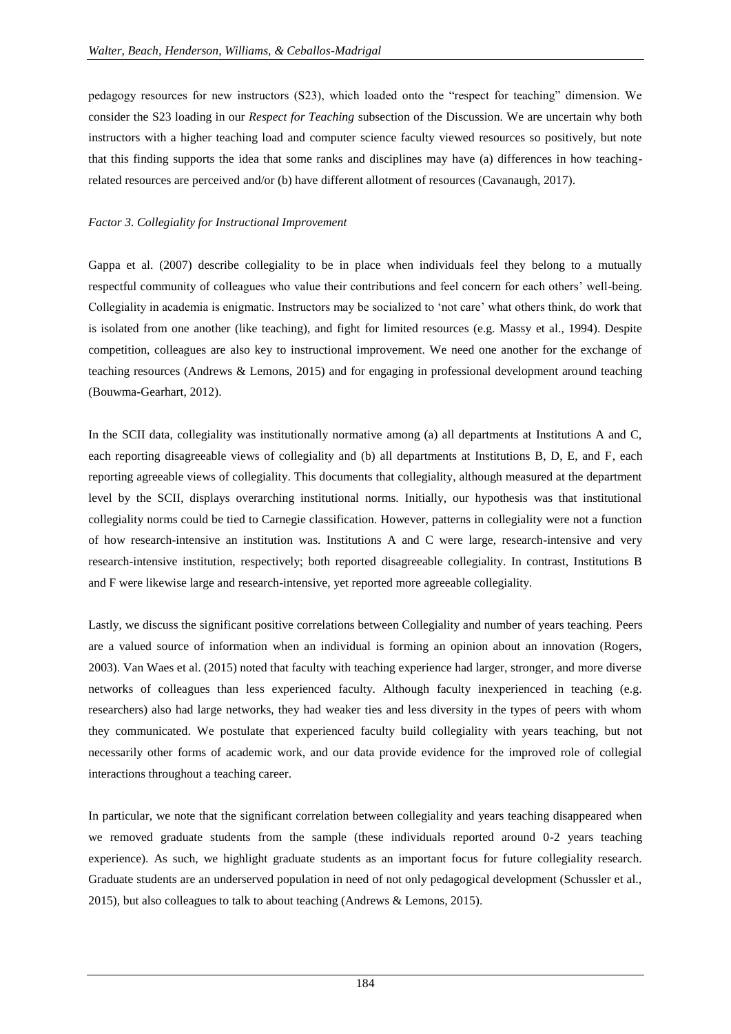pedagogy resources for new instructors (S23), which loaded onto the "respect for teaching" dimension. We consider the S23 loading in our *Respect for Teaching* subsection of the Discussion. We are uncertain why both instructors with a higher teaching load and computer science faculty viewed resources so positively, but note that this finding supports the idea that some ranks and disciplines may have (a) differences in how teachingrelated resources are perceived and/or (b) have different allotment of resources (Cavanaugh, 2017).

# *Factor 3. Collegiality for Instructional Improvement*

Gappa et al. (2007) describe collegiality to be in place when individuals feel they belong to a mutually respectful community of colleagues who value their contributions and feel concern for each others" well-being. Collegiality in academia is enigmatic. Instructors may be socialized to "not care" what others think, do work that is isolated from one another (like teaching), and fight for limited resources (e.g. Massy et al., 1994). Despite competition, colleagues are also key to instructional improvement. We need one another for the exchange of teaching resources (Andrews & Lemons, 2015) and for engaging in professional development around teaching (Bouwma-Gearhart, 2012).

In the SCII data, collegiality was institutionally normative among (a) all departments at Institutions A and C, each reporting disagreeable views of collegiality and (b) all departments at Institutions B, D, E, and F, each reporting agreeable views of collegiality. This documents that collegiality, although measured at the department level by the SCII, displays overarching institutional norms. Initially, our hypothesis was that institutional collegiality norms could be tied to Carnegie classification. However, patterns in collegiality were not a function of how research-intensive an institution was. Institutions A and C were large, research-intensive and very research-intensive institution, respectively; both reported disagreeable collegiality. In contrast, Institutions B and F were likewise large and research-intensive, yet reported more agreeable collegiality.

Lastly, we discuss the significant positive correlations between Collegiality and number of years teaching. Peers are a valued source of information when an individual is forming an opinion about an innovation (Rogers, 2003). Van Waes et al. (2015) noted that faculty with teaching experience had larger, stronger, and more diverse networks of colleagues than less experienced faculty. Although faculty inexperienced in teaching (e.g. researchers) also had large networks, they had weaker ties and less diversity in the types of peers with whom they communicated. We postulate that experienced faculty build collegiality with years teaching, but not necessarily other forms of academic work, and our data provide evidence for the improved role of collegial interactions throughout a teaching career.

In particular, we note that the significant correlation between collegiality and years teaching disappeared when we removed graduate students from the sample (these individuals reported around 0-2 years teaching experience). As such, we highlight graduate students as an important focus for future collegiality research. Graduate students are an underserved population in need of not only pedagogical development (Schussler et al., 2015), but also colleagues to talk to about teaching (Andrews & Lemons, 2015).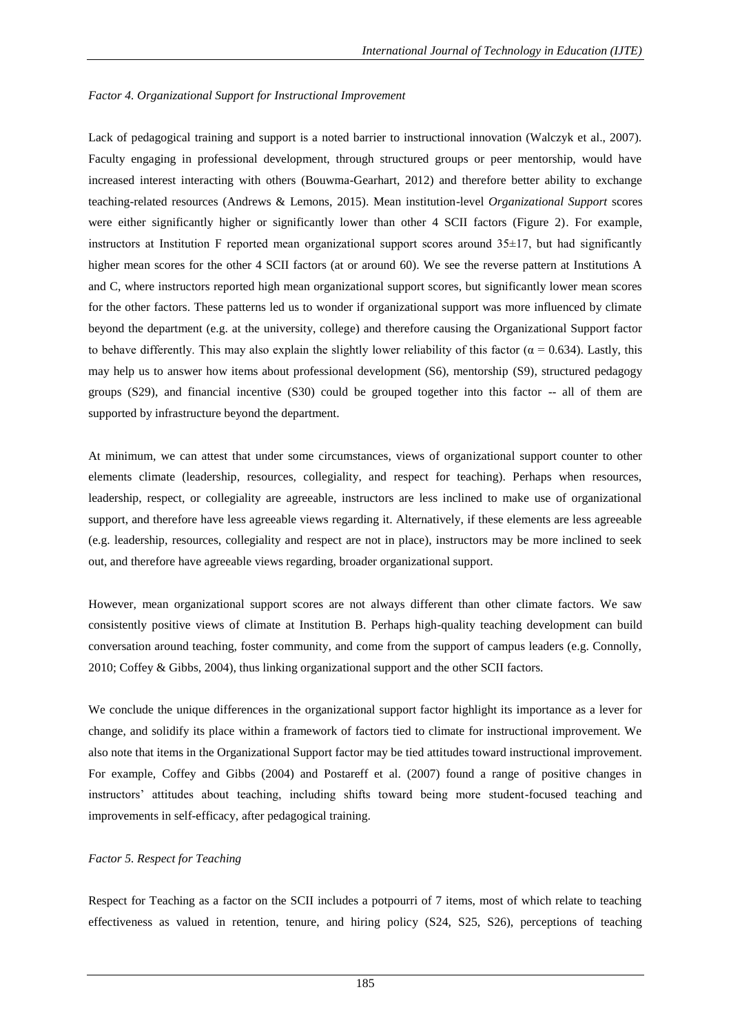# *Factor 4. Organizational Support for Instructional Improvement*

Lack of pedagogical training and support is a noted barrier to instructional innovation (Walczyk et al., 2007). Faculty engaging in professional development, through structured groups or peer mentorship, would have increased interest interacting with others (Bouwma-Gearhart, 2012) and therefore better ability to exchange teaching-related resources (Andrews & Lemons, 2015). Mean institution-level *Organizational Support* scores were either significantly higher or significantly lower than other 4 SCII factors (Figure 2). For example, instructors at Institution F reported mean organizational support scores around 35±17, but had significantly higher mean scores for the other 4 SCII factors (at or around 60). We see the reverse pattern at Institutions A and C, where instructors reported high mean organizational support scores, but significantly lower mean scores for the other factors. These patterns led us to wonder if organizational support was more influenced by climate beyond the department (e.g. at the university, college) and therefore causing the Organizational Support factor to behave differently. This may also explain the slightly lower reliability of this factor ( $\alpha$  = 0.634). Lastly, this may help us to answer how items about professional development (S6), mentorship (S9), structured pedagogy groups (S29), and financial incentive (S30) could be grouped together into this factor -- all of them are supported by infrastructure beyond the department.

At minimum, we can attest that under some circumstances, views of organizational support counter to other elements climate (leadership, resources, collegiality, and respect for teaching). Perhaps when resources, leadership, respect, or collegiality are agreeable, instructors are less inclined to make use of organizational support, and therefore have less agreeable views regarding it. Alternatively, if these elements are less agreeable (e.g. leadership, resources, collegiality and respect are not in place), instructors may be more inclined to seek out, and therefore have agreeable views regarding, broader organizational support.

However, mean organizational support scores are not always different than other climate factors. We saw consistently positive views of climate at Institution B. Perhaps high-quality teaching development can build conversation around teaching, foster community, and come from the support of campus leaders (e.g. Connolly, 2010; Coffey & Gibbs, 2004), thus linking organizational support and the other SCII factors.

We conclude the unique differences in the organizational support factor highlight its importance as a lever for change, and solidify its place within a framework of factors tied to climate for instructional improvement. We also note that items in the Organizational Support factor may be tied attitudes toward instructional improvement. For example, Coffey and Gibbs (2004) and Postareff et al. (2007) found a range of positive changes in instructors" attitudes about teaching, including shifts toward being more student-focused teaching and improvements in self-efficacy, after pedagogical training.

# *Factor 5. Respect for Teaching*

Respect for Teaching as a factor on the SCII includes a potpourri of 7 items, most of which relate to teaching effectiveness as valued in retention, tenure, and hiring policy (S24, S25, S26), perceptions of teaching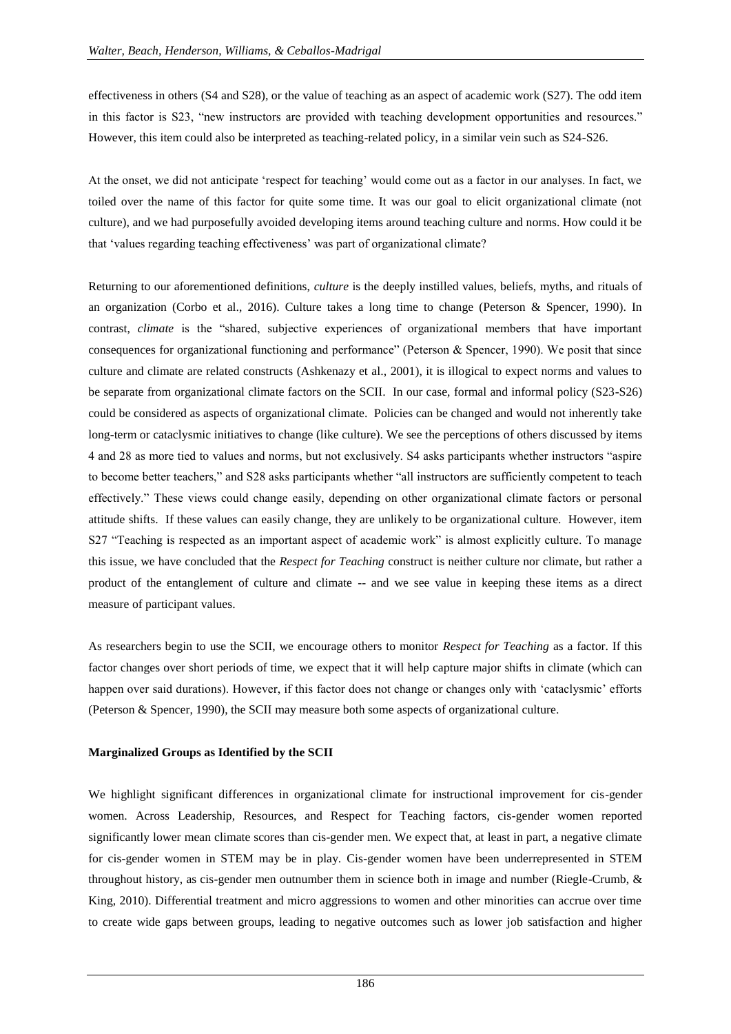effectiveness in others (S4 and S28), or the value of teaching as an aspect of academic work (S27). The odd item in this factor is S23, "new instructors are provided with teaching development opportunities and resources." However, this item could also be interpreted as teaching-related policy, in a similar vein such as S24-S26.

At the onset, we did not anticipate "respect for teaching" would come out as a factor in our analyses. In fact, we toiled over the name of this factor for quite some time. It was our goal to elicit organizational climate (not culture), and we had purposefully avoided developing items around teaching culture and norms. How could it be that 'values regarding teaching effectiveness' was part of organizational climate?

Returning to our aforementioned definitions, *culture* is the deeply instilled values, beliefs, myths, and rituals of an organization (Corbo et al., 2016). Culture takes a long time to change (Peterson & Spencer, 1990). In contrast, *climate* is the "shared, subjective experiences of organizational members that have important consequences for organizational functioning and performance" (Peterson & Spencer, 1990). We posit that since culture and climate are related constructs (Ashkenazy et al., 2001), it is illogical to expect norms and values to be separate from organizational climate factors on the SCII. In our case, formal and informal policy (S23-S26) could be considered as aspects of organizational climate. Policies can be changed and would not inherently take long-term or cataclysmic initiatives to change (like culture). We see the perceptions of others discussed by items 4 and 28 as more tied to values and norms, but not exclusively. S4 asks participants whether instructors "aspire to become better teachers," and S28 asks participants whether "all instructors are sufficiently competent to teach effectively." These views could change easily, depending on other organizational climate factors or personal attitude shifts. If these values can easily change, they are unlikely to be organizational culture. However, item S27 "Teaching is respected as an important aspect of academic work" is almost explicitly culture. To manage this issue, we have concluded that the *Respect for Teaching* construct is neither culture nor climate, but rather a product of the entanglement of culture and climate -- and we see value in keeping these items as a direct measure of participant values.

As researchers begin to use the SCII, we encourage others to monitor *Respect for Teaching* as a factor. If this factor changes over short periods of time, we expect that it will help capture major shifts in climate (which can happen over said durations). However, if this factor does not change or changes only with 'cataclysmic' efforts (Peterson & Spencer, 1990), the SCII may measure both some aspects of organizational culture.

# **Marginalized Groups as Identified by the SCII**

We highlight significant differences in organizational climate for instructional improvement for cis-gender women. Across Leadership, Resources, and Respect for Teaching factors, cis-gender women reported significantly lower mean climate scores than cis-gender men. We expect that, at least in part, a negative climate for cis-gender women in STEM may be in play. Cis-gender women have been underrepresented in STEM throughout history, as cis-gender men outnumber them in science both in image and number (Riegle-Crumb, & King, 2010). Differential treatment and micro aggressions to women and other minorities can accrue over time to create wide gaps between groups, leading to negative outcomes such as lower job satisfaction and higher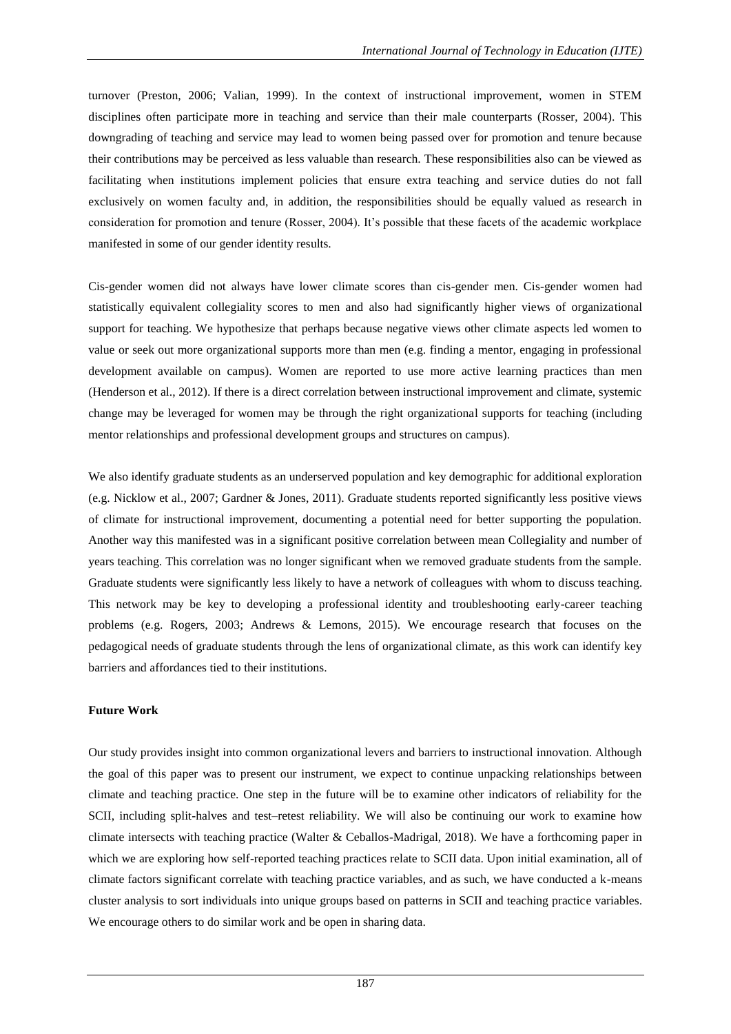turnover (Preston, 2006; Valian, 1999). In the context of instructional improvement, women in STEM disciplines often participate more in teaching and service than their male counterparts (Rosser, 2004). This downgrading of teaching and service may lead to women being passed over for promotion and tenure because their contributions may be perceived as less valuable than research. These responsibilities also can be viewed as facilitating when institutions implement policies that ensure extra teaching and service duties do not fall exclusively on women faculty and, in addition, the responsibilities should be equally valued as research in consideration for promotion and tenure (Rosser, 2004). It"s possible that these facets of the academic workplace manifested in some of our gender identity results.

Cis-gender women did not always have lower climate scores than cis-gender men. Cis-gender women had statistically equivalent collegiality scores to men and also had significantly higher views of organizational support for teaching. We hypothesize that perhaps because negative views other climate aspects led women to value or seek out more organizational supports more than men (e.g. finding a mentor, engaging in professional development available on campus). Women are reported to use more active learning practices than men (Henderson et al., 2012). If there is a direct correlation between instructional improvement and climate, systemic change may be leveraged for women may be through the right organizational supports for teaching (including mentor relationships and professional development groups and structures on campus).

We also identify graduate students as an underserved population and key demographic for additional exploration (e.g. Nicklow et al., 2007; Gardner & Jones, 2011). Graduate students reported significantly less positive views of climate for instructional improvement, documenting a potential need for better supporting the population. Another way this manifested was in a significant positive correlation between mean Collegiality and number of years teaching. This correlation was no longer significant when we removed graduate students from the sample. Graduate students were significantly less likely to have a network of colleagues with whom to discuss teaching. This network may be key to developing a professional identity and troubleshooting early-career teaching problems (e.g. Rogers, 2003; Andrews & Lemons, 2015). We encourage research that focuses on the pedagogical needs of graduate students through the lens of organizational climate, as this work can identify key barriers and affordances tied to their institutions.

# **Future Work**

Our study provides insight into common organizational levers and barriers to instructional innovation. Although the goal of this paper was to present our instrument, we expect to continue unpacking relationships between climate and teaching practice. One step in the future will be to examine other indicators of reliability for the SCII, including split-halves and test–retest reliability. We will also be continuing our work to examine how climate intersects with teaching practice (Walter & Ceballos-Madrigal, 2018). We have a forthcoming paper in which we are exploring how self-reported teaching practices relate to SCII data. Upon initial examination, all of climate factors significant correlate with teaching practice variables, and as such, we have conducted a k-means cluster analysis to sort individuals into unique groups based on patterns in SCII and teaching practice variables. We encourage others to do similar work and be open in sharing data.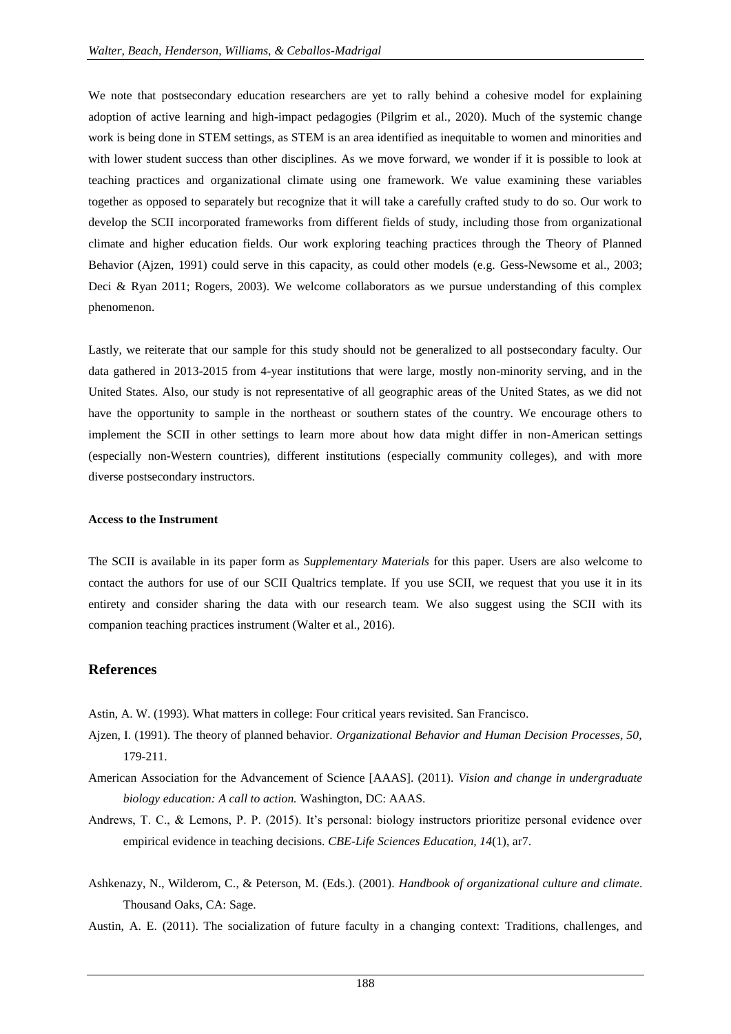We note that postsecondary education researchers are yet to rally behind a cohesive model for explaining adoption of active learning and high-impact pedagogies (Pilgrim et al., 2020). Much of the systemic change work is being done in STEM settings, as STEM is an area identified as inequitable to women and minorities and with lower student success than other disciplines. As we move forward, we wonder if it is possible to look at teaching practices and organizational climate using one framework. We value examining these variables together as opposed to separately but recognize that it will take a carefully crafted study to do so. Our work to develop the SCII incorporated frameworks from different fields of study, including those from organizational climate and higher education fields. Our work exploring teaching practices through the Theory of Planned Behavior (Ajzen, 1991) could serve in this capacity, as could other models (e.g. Gess-Newsome et al., 2003; Deci & Ryan 2011; Rogers, 2003). We welcome collaborators as we pursue understanding of this complex phenomenon.

Lastly, we reiterate that our sample for this study should not be generalized to all postsecondary faculty. Our data gathered in 2013-2015 from 4-year institutions that were large, mostly non-minority serving, and in the United States. Also, our study is not representative of all geographic areas of the United States, as we did not have the opportunity to sample in the northeast or southern states of the country. We encourage others to implement the SCII in other settings to learn more about how data might differ in non-American settings (especially non-Western countries), different institutions (especially community colleges), and with more diverse postsecondary instructors.

#### **Access to the Instrument**

The SCII is available in its paper form as *Supplementary Materials* for this paper*.* Users are also welcome to contact the authors for use of our SCII Qualtrics template. If you use SCII, we request that you use it in its entirety and consider sharing the data with our research team. We also suggest using the SCII with its companion teaching practices instrument (Walter et al., 2016).

# **References**

- Astin, A. W. (1993). What matters in college: Four critical years revisited. San Francisco.
- Ajzen, I. (1991). The theory of planned behavior. *Organizational Behavior and Human Decision Processes, 50,* 179-211.
- American Association for the Advancement of Science [AAAS]. (2011). *Vision and change in undergraduate biology education: A call to action.* Washington, DC: AAAS.
- Andrews, T. C., & Lemons, P. P. (2015). It's personal: biology instructors prioritize personal evidence over empirical evidence in teaching decisions. *CBE-Life Sciences Education, 14*(1), ar7.
- Ashkenazy, N., Wilderom, C., & Peterson, M. (Eds.). (2001). *Handbook of organizational culture and climate*. Thousand Oaks, CA: Sage.
- Austin, A. E. (2011). The socialization of future faculty in a changing context: Traditions, challenges, and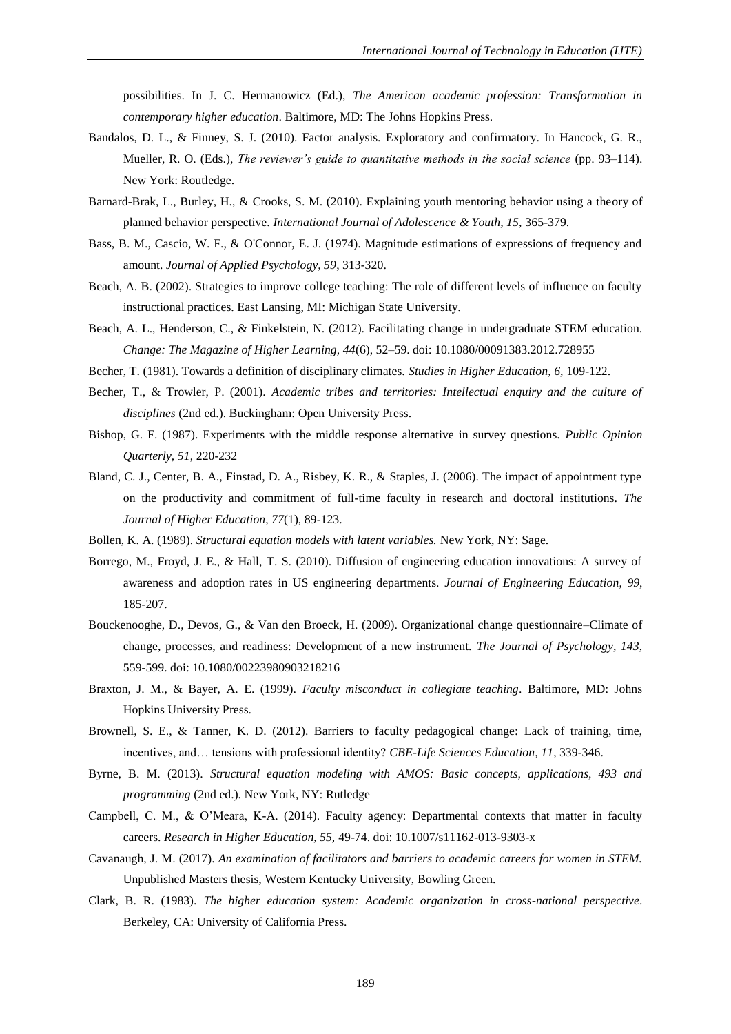possibilities. In J. C. Hermanowicz (Ed.), *The American academic profession: Transformation in contemporary higher education*. Baltimore, MD: The Johns Hopkins Press.

- Bandalos, D. L., & Finney, S. J. (2010). Factor analysis. Exploratory and confirmatory. In Hancock, G. R., Mueller, R. O. (Eds.), *The reviewer's guide to quantitative methods in the social science* (pp. 93–114). New York: Routledge.
- Barnard-Brak, L., Burley, H., & Crooks, S. M. (2010). Explaining youth mentoring behavior using a theory of planned behavior perspective. *International Journal of Adolescence & Youth, 15,* 365-379.
- Bass, B. M., Cascio, W. F., & O'Connor, E. J. (1974). Magnitude estimations of expressions of frequency and amount. *Journal of Applied Psychology, 59*, 313-320.
- Beach, A. B. (2002). Strategies to improve college teaching: The role of different levels of influence on faculty instructional practices. East Lansing, MI: Michigan State University.
- Beach, A. L., Henderson, C., & Finkelstein, N. (2012). Facilitating change in undergraduate STEM education. *Change: The Magazine of Higher Learning, 44*(6), 52–59. doi: 10.1080/00091383.2012.728955
- Becher, T. (1981). Towards a definition of disciplinary climates. *Studies in Higher Education, 6,* 109-122.
- Becher, T., & Trowler, P. (2001). *Academic tribes and territories: Intellectual enquiry and the culture of disciplines* (2nd ed.). Buckingham: Open University Press.
- Bishop, G. F. (1987). Experiments with the middle response alternative in survey questions. *Public Opinion Quarterly, 51*, 220-232
- Bland, C. J., Center, B. A., Finstad, D. A., Risbey, K. R., & Staples, J. (2006). The impact of appointment type on the productivity and commitment of full-time faculty in research and doctoral institutions. *The Journal of Higher Education*, *77*(1), 89-123.
- Bollen, K. A. (1989). *Structural equation models with latent variables.* New York, NY: Sage.
- Borrego, M., Froyd, J. E., & Hall, T. S. (2010). Diffusion of engineering education innovations: A survey of awareness and adoption rates in US engineering departments. *Journal of Engineering Education*, *99*, 185-207.
- Bouckenooghe, D., Devos, G., & Van den Broeck, H. (2009). Organizational change questionnaire–Climate of change, processes, and readiness: Development of a new instrument. *The Journal of Psychology, 143*, 559-599. doi: 10.1080/00223980903218216
- Braxton, J. M., & Bayer, A. E. (1999). *Faculty misconduct in collegiate teaching*. Baltimore, MD: Johns Hopkins University Press.
- Brownell, S. E., & Tanner, K. D. (2012). Barriers to faculty pedagogical change: Lack of training, time, incentives, and… tensions with professional identity? *CBE-Life Sciences Education*, *11*, 339-346.
- Byrne, B. M. (2013). *Structural equation modeling with AMOS: Basic concepts, applications, 493 and programming* (2nd ed.). New York, NY: Rutledge
- Campbell, C. M., & O"Meara, K-A. (2014). Faculty agency: Departmental contexts that matter in faculty careers. *Research in Higher Education, 55,* 49-74. doi: 10.1007/s11162-013-9303-x
- Cavanaugh, J. M. (2017). *An examination of facilitators and barriers to academic careers for women in STEM.*  Unpublished Masters thesis, Western Kentucky University, Bowling Green.
- Clark, B. R. (1983). *The higher education system: Academic organization in cross-national perspective*. Berkeley, CA: University of California Press.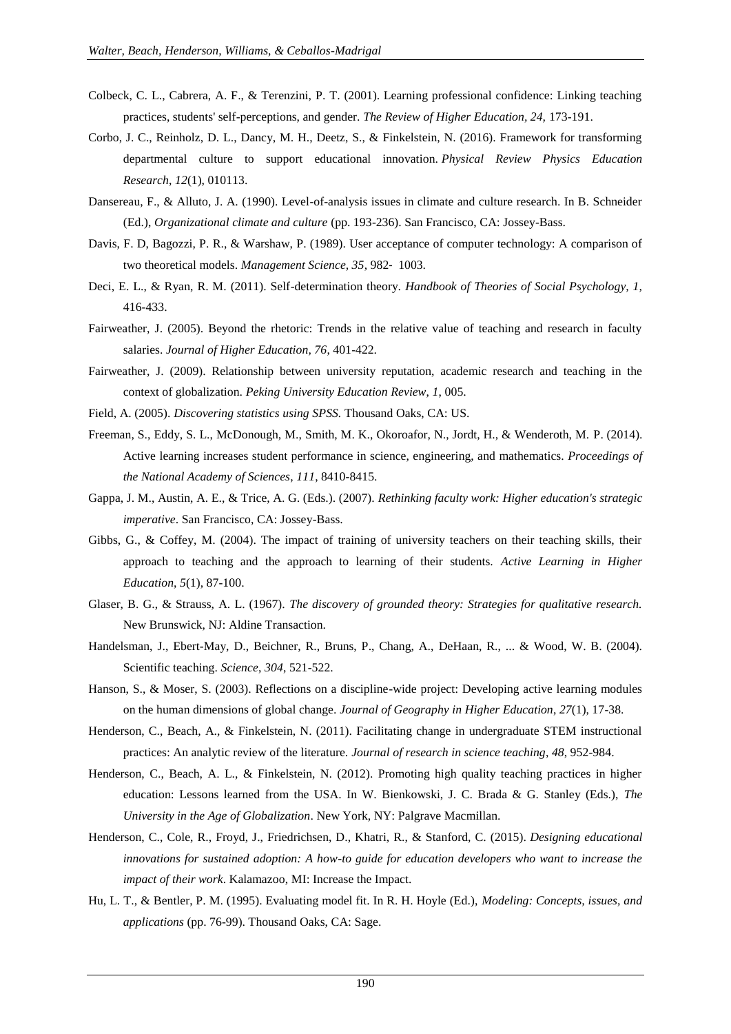- Colbeck, C. L., Cabrera, A. F., & Terenzini, P. T. (2001). Learning professional confidence: Linking teaching practices, students' self-perceptions, and gender. *The Review of Higher Education, 24,* 173-191.
- Corbo, J. C., Reinholz, D. L., Dancy, M. H., Deetz, S., & Finkelstein, N. (2016). Framework for transforming departmental culture to support educational innovation. *Physical Review Physics Education Research*, *12*(1), 010113.
- Dansereau, F., & Alluto, J. A. (1990). Level-of-analysis issues in climate and culture research. In B. Schneider (Ed.), *Organizational climate and culture* (pp. 193-236). San Francisco, CA: Jossey-Bass.
- Davis, F. D, Bagozzi, P. R., & Warshaw, P. (1989). User acceptance of computer technology: A comparison of two theoretical models. *Management Science, 35*, 982‐ 1003.
- Deci, E. L., & Ryan, R. M. (2011). Self-determination theory. *Handbook of Theories of Social Psychology, 1,* 416-433.
- Fairweather, J. (2005). Beyond the rhetoric: Trends in the relative value of teaching and research in faculty salaries. *Journal of Higher Education, 76*, 401-422.
- Fairweather, J. (2009). Relationship between university reputation, academic research and teaching in the context of globalization. *Peking University Education Review*, *1*, 005.
- Field, A. (2005). *Discovering statistics using SPSS.* Thousand Oaks, CA: US.
- Freeman, S., Eddy, S. L., McDonough, M., Smith, M. K., Okoroafor, N., Jordt, H., & Wenderoth, M. P. (2014). Active learning increases student performance in science, engineering, and mathematics. *Proceedings of the National Academy of Sciences*, *111*, 8410-8415.
- Gappa, J. M., Austin, A. E., & Trice, A. G. (Eds.). (2007). *Rethinking faculty work: Higher education's strategic imperative*. San Francisco, CA: Jossey-Bass.
- Gibbs, G., & Coffey, M. (2004). The impact of training of university teachers on their teaching skills, their approach to teaching and the approach to learning of their students. *Active Learning in Higher Education*, *5*(1), 87-100.
- Glaser, B. G., & Strauss, A. L. (1967). *The discovery of grounded theory: Strategies for qualitative research.* New Brunswick, NJ: Aldine Transaction.
- Handelsman, J., Ebert-May, D., Beichner, R., Bruns, P., Chang, A., DeHaan, R., ... & Wood, W. B. (2004). Scientific teaching. *Science*, *304*, 521-522.
- Hanson, S., & Moser, S. (2003). Reflections on a discipline-wide project: Developing active learning modules on the human dimensions of global change. *Journal of Geography in Higher Education*, *27*(1), 17-38.
- Henderson, C., Beach, A., & Finkelstein, N. (2011). Facilitating change in undergraduate STEM instructional practices: An analytic review of the literature. *Journal of research in science teaching*, *48*, 952-984.
- Henderson, C., Beach, A. L., & Finkelstein, N. (2012). Promoting high quality teaching practices in higher education: Lessons learned from the USA. In W. Bienkowski, J. C. Brada & G. Stanley (Eds.), *The University in the Age of Globalization*. New York, NY: Palgrave Macmillan.
- Henderson, C., Cole, R., Froyd, J., Friedrichsen, D., Khatri, R., & Stanford, C. (2015). *Designing educational innovations for sustained adoption: A how-to guide for education developers who want to increase the impact of their work*. Kalamazoo, MI: Increase the Impact.
- Hu, L. T., & Bentler, P. M. (1995). Evaluating model fit. In R. H. Hoyle (Ed.), *Modeling: Concepts, issues, and applications* (pp. 76-99). Thousand Oaks, CA: Sage.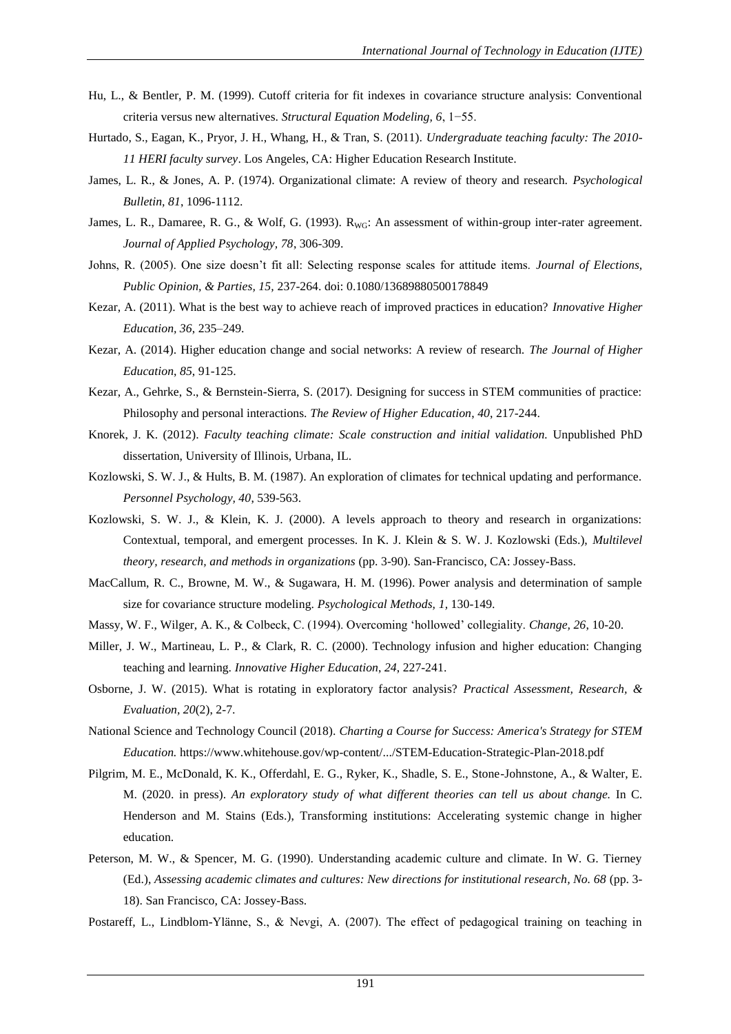- Hu, L., & Bentler, P. M. (1999). Cutoff criteria for fit indexes in covariance structure analysis: Conventional criteria versus new alternatives. *Structural Equation Modeling, 6*, 1−55.
- Hurtado, S., Eagan, K., Pryor, J. H., Whang, H., & Tran, S. (2011). *Undergraduate teaching faculty: The 2010- 11 HERI faculty survey*. Los Angeles, CA: Higher Education Research Institute.
- James, L. R., & Jones, A. P. (1974). Organizational climate: A review of theory and research. *Psychological Bulletin, 81*, 1096-1112.
- James, L. R., Damaree, R. G., & Wolf, G. (1993). R<sub>WG</sub>: An assessment of within-group inter-rater agreement. *Journal of Applied Psychology, 78*, 306-309.
- Johns, R. (2005). One size doesn"t fit all: Selecting response scales for attitude items. *Journal of Elections, Public Opinion, & Parties, 15,* 237-264. doi: 0.1080/13689880500178849
- Kezar, A. (2011). What is the best way to achieve reach of improved practices in education? *Innovative Higher Education, 36*, 235–249.
- Kezar, A. (2014). Higher education change and social networks: A review of research. *The Journal of Higher Education*, *85*, 91-125.
- Kezar, A., Gehrke, S., & Bernstein-Sierra, S. (2017). Designing for success in STEM communities of practice: Philosophy and personal interactions. *The Review of Higher Education*, *40*, 217-244.
- Knorek, J. K. (2012). *Faculty teaching climate: Scale construction and initial validation.* Unpublished PhD dissertation, University of Illinois, Urbana, IL.
- Kozlowski, S. W. J., & Hults, B. M. (1987). An exploration of climates for technical updating and performance. *Personnel Psychology, 40*, 539-563.
- Kozlowski, S. W. J., & Klein, K. J. (2000). A levels approach to theory and research in organizations: Contextual, temporal, and emergent processes. In K. J. Klein & S. W. J. Kozlowski (Eds.), *Multilevel theory, research, and methods in organizations* (pp. 3-90). San-Francisco, CA: Jossey-Bass.
- MacCallum, R. C., Browne, M. W., & Sugawara, H. M. (1996). Power analysis and determination of sample size for covariance structure modeling. *Psychological Methods, 1,* 130-149.
- Massy, W. F., Wilger, A. K., & Colbeck, C. (1994). Overcoming "hollowed" collegiality. *Change, 26*, 10-20.
- Miller, J. W., Martineau, L. P., & Clark, R. C. (2000). Technology infusion and higher education: Changing teaching and learning. *Innovative Higher Education*, *24*, 227-241.
- Osborne, J. W. (2015). What is rotating in exploratory factor analysis? *Practical Assessment, Research, & Evaluation, 20*(2), 2-7.
- National Science and Technology Council (2018). *Charting a Course for Success: America's Strategy for STEM Education.* https://www.whitehouse.gov/wp-content/.../STEM-Education-Strategic-Plan-2018.pdf
- Pilgrim, M. E., McDonald, K. K., Offerdahl, E. G., Ryker, K., Shadle, S. E., Stone-Johnstone, A., & Walter, E. M. (2020. in press). *An exploratory study of what different theories can tell us about change.* In C. Henderson and M. Stains (Eds.), Transforming institutions: Accelerating systemic change in higher education.
- Peterson, M. W., & Spencer, M. G. (1990). Understanding academic culture and climate. In W. G. Tierney (Ed.), *Assessing academic climates and cultures: New directions for institutional research, No. 68* (pp. 3- 18). San Francisco, CA: Jossey-Bass.
- Postareff, L., Lindblom-Ylänne, S., & Nevgi, A. (2007). The effect of pedagogical training on teaching in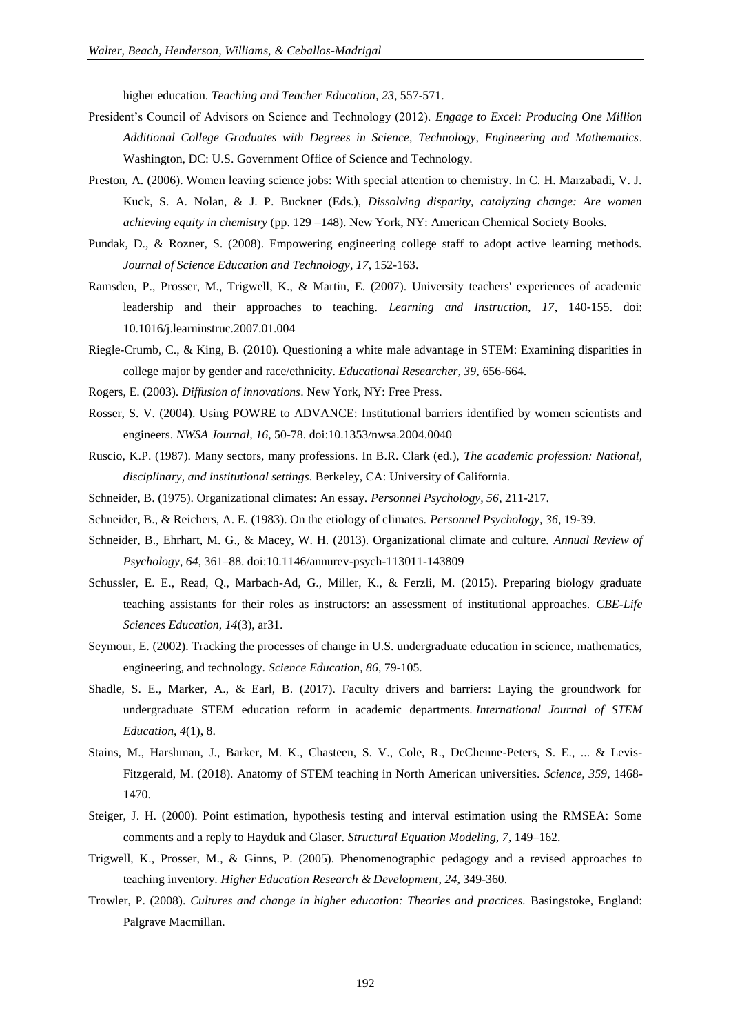higher education. *Teaching and Teacher Education*, *23*, 557-571.

- President"s Council of Advisors on Science and Technology (2012). *Engage to Excel: Producing One Million Additional College Graduates with Degrees in Science, Technology, Engineering and Mathematics*. Washington, DC: U.S. Government Office of Science and Technology.
- Preston, A. (2006). Women leaving science jobs: With special attention to chemistry. In C. H. Marzabadi, V. J. Kuck, S. A. Nolan, & J. P. Buckner (Eds.), *Dissolving disparity, catalyzing change: Are women achieving equity in chemistry* (pp. 129 –148). New York, NY: American Chemical Society Books.
- Pundak, D., & Rozner, S. (2008). Empowering engineering college staff to adopt active learning methods. *Journal of Science Education and Technology*, *17*, 152-163.
- Ramsden, P., Prosser, M., Trigwell, K., & Martin, E. (2007). University teachers' experiences of academic leadership and their approaches to teaching. *Learning and Instruction, 17*, 140-155. doi: 10.1016/j.learninstruc.2007.01.004
- Riegle-Crumb, C., & King, B. (2010). Questioning a white male advantage in STEM: Examining disparities in college major by gender and race/ethnicity. *Educational Researcher, 39,* 656-664.
- Rogers, E. (2003). *Diffusion of innovations*. New York, NY: Free Press.
- Rosser, S. V. (2004). Using POWRE to ADVANCE: Institutional barriers identified by women scientists and engineers. *NWSA Journal, 16*, 50-78. doi:10.1353/nwsa.2004.0040
- Ruscio, K.P. (1987). Many sectors, many professions. In B.R. Clark (ed.), *The academic profession: National, disciplinary, and institutional settings*. Berkeley, CA: University of California.
- Schneider, B. (1975). Organizational climates: An essay. *Personnel Psychology, 56*, 211-217.
- Schneider, B., & Reichers, A. E. (1983). On the etiology of climates. *Personnel Psychology, 36*, 19-39.
- Schneider, B., Ehrhart, M. G., & Macey, W. H. (2013). Organizational climate and culture. *Annual Review of Psychology*, *64*, 361–88. doi:10.1146/annurev-psych-113011-143809
- Schussler, E. E., Read, Q., Marbach-Ad, G., Miller, K., & Ferzli, M. (2015). Preparing biology graduate teaching assistants for their roles as instructors: an assessment of institutional approaches. *CBE-Life Sciences Education*, *14*(3), ar31.
- Seymour, E. (2002). Tracking the processes of change in U.S. undergraduate education in science, mathematics, engineering, and technology. *Science Education*, *86*, 79-105.
- Shadle, S. E., Marker, A., & Earl, B. (2017). Faculty drivers and barriers: Laying the groundwork for undergraduate STEM education reform in academic departments. *International Journal of STEM Education*, *4*(1), 8.
- Stains, M., Harshman, J., Barker, M. K., Chasteen, S. V., Cole, R., DeChenne-Peters, S. E., ... & Levis-Fitzgerald, M. (2018). Anatomy of STEM teaching in North American universities. *Science, 359*, 1468- 1470.
- Steiger, J. H. (2000). Point estimation, hypothesis testing and interval estimation using the RMSEA: Some comments and a reply to Hayduk and Glaser. *Structural Equation Modeling, 7*, 149–162.
- Trigwell, K., Prosser, M., & Ginns, P. (2005). Phenomenographic pedagogy and a revised approaches to teaching inventory. *Higher Education Research & Development*, *24*, 349-360.
- Trowler, P. (2008). *Cultures and change in higher education: Theories and practices.* Basingstoke, England: Palgrave Macmillan.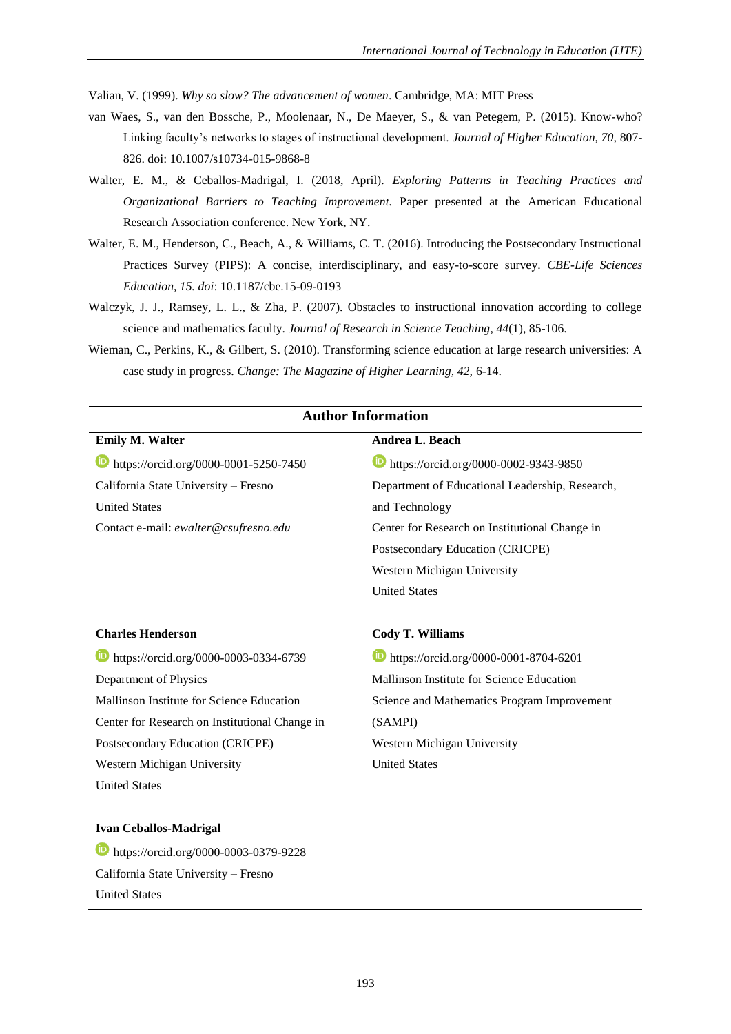Valian, V. (1999). *Why so slow? The advancement of women*. Cambridge, MA: MIT Press

- van Waes, S., van den Bossche, P., Moolenaar, N., De Maeyer, S., & van Petegem, P. (2015). Know-who? Linking faculty"s networks to stages of instructional development. *Journal of Higher Education, 70,* 807- 826. doi: 10.1007/s10734-015-9868-8
- Walter, E. M., & Ceballos-Madrigal, I. (2018, April). *Exploring Patterns in Teaching Practices and Organizational Barriers to Teaching Improvement.* Paper presented at the American Educational Research Association conference. New York, NY.
- Walter, E. M., Henderson, C., Beach, A., & Williams, C. T. (2016). Introducing the Postsecondary Instructional Practices Survey (PIPS): A concise, interdisciplinary, and easy-to-score survey. *CBE-Life Sciences Education, 15. doi*: 10.1187/cbe.15-09-0193
- Walczyk, J. J., Ramsey, L. L., & Zha, P. (2007). Obstacles to instructional innovation according to college science and mathematics faculty. *Journal of Research in Science Teaching*, *44*(1), 85-106.
- Wieman, C., Perkins, K., & Gilbert, S. (2010). Transforming science education at large research universities: A case study in progress. *Change: The Magazine of Higher Learning, 42,* 6-14.

| <b>Author Information</b>                      |                                                 |  |  |  |  |
|------------------------------------------------|-------------------------------------------------|--|--|--|--|
| <b>Emily M. Walter</b>                         | Andrea L. Beach                                 |  |  |  |  |
| https://orcid.org/0000-0001-5250-7450          | https://orcid.org/0000-0002-9343-9850           |  |  |  |  |
| California State University - Fresno           | Department of Educational Leadership, Research, |  |  |  |  |
| <b>United States</b>                           | and Technology                                  |  |  |  |  |
| Contact e-mail: ewalter@csufresno.edu          | Center for Research on Institutional Change in  |  |  |  |  |
|                                                | Postsecondary Education (CRICPE)                |  |  |  |  |
|                                                | Western Michigan University                     |  |  |  |  |
|                                                | <b>United States</b>                            |  |  |  |  |
| <b>Charles Henderson</b>                       | <b>Cody T. Williams</b>                         |  |  |  |  |
| https://orcid.org/0000-0003-0334-6739<br>(id)  | https://orcid.org/0000-0001-8704-6201           |  |  |  |  |
| Department of Physics                          | Mallinson Institute for Science Education       |  |  |  |  |
| Mallinson Institute for Science Education      | Science and Mathematics Program Improvement     |  |  |  |  |
| Center for Research on Institutional Change in | (SAMPI)                                         |  |  |  |  |
| Postsecondary Education (CRICPE)               | Western Michigan University                     |  |  |  |  |
| Western Michigan University                    | <b>United States</b>                            |  |  |  |  |
| <b>United States</b>                           |                                                 |  |  |  |  |
| <b>Ivan Ceballos-Madrigal</b>                  |                                                 |  |  |  |  |
| https://orcid.org/0000-0003-0379-9228          |                                                 |  |  |  |  |
| California State University - Fresno           |                                                 |  |  |  |  |
| <b>United States</b>                           |                                                 |  |  |  |  |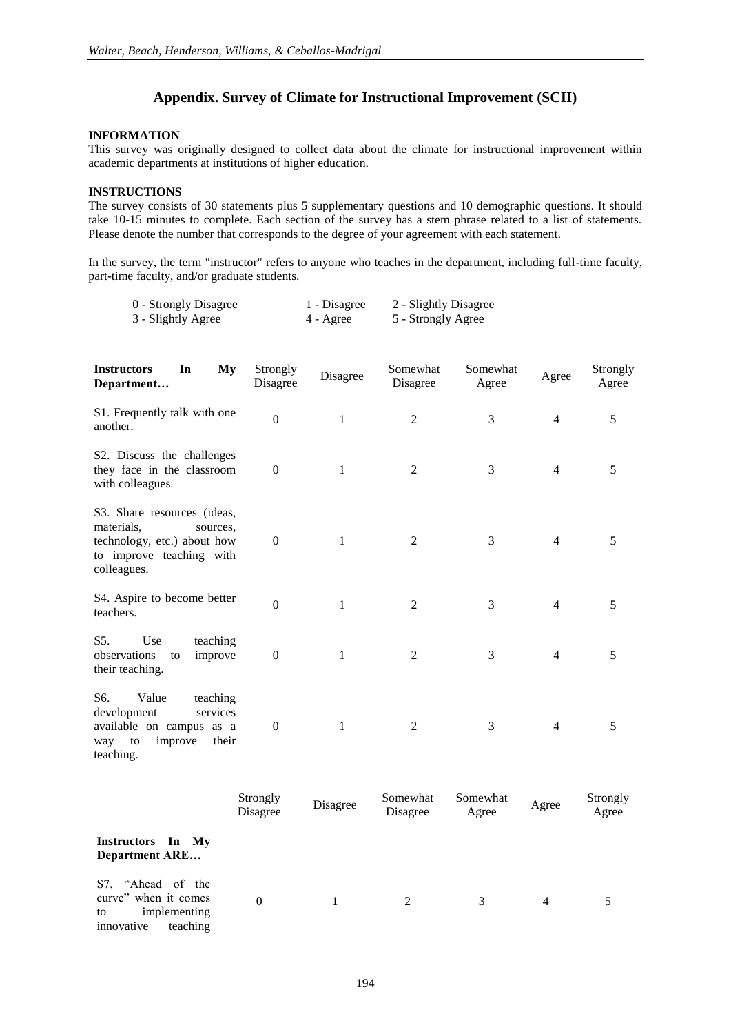# **Appendix. Survey of Climate for Instructional Improvement (SCII)**

### **INFORMATION**

This survey was originally designed to collect data about the climate for instructional improvement within academic departments at institutions of higher education.

### **INSTRUCTIONS**

The survey consists of 30 statements plus 5 supplementary questions and 10 demographic questions. It should take 10-15 minutes to complete. Each section of the survey has a stem phrase related to a list of statements. Please denote the number that corresponds to the degree of your agreement with each statement.

In the survey, the term "instructor" refers to anyone who teaches in the department, including full-time faculty, part-time faculty, and/or graduate students.

| 0 - Strongly Disagree | 1 - Disagree | 2 - Slightly Disagree |
|-----------------------|--------------|-----------------------|
| 3 - Slightly Agree    | 4 - Agree    | 5 - Strongly Agree    |

| In<br>My<br><b>Instructors</b><br>Department                                                                                    | Strongly<br>Disagree | Disagree     | Somewhat<br>Disagree | Somewhat<br>Agree | Agree          | Strongly<br>Agree |
|---------------------------------------------------------------------------------------------------------------------------------|----------------------|--------------|----------------------|-------------------|----------------|-------------------|
| S1. Frequently talk with one<br>another.                                                                                        | $\boldsymbol{0}$     | $\mathbf{1}$ | $\mathfrak{2}$       | 3                 | $\overline{4}$ | 5                 |
| S2. Discuss the challenges<br>they face in the classroom<br>with colleagues.                                                    | $\mathbf{0}$         | 1            | $\overline{2}$       | 3                 | $\overline{4}$ | 5                 |
| S3. Share resources (ideas,<br>materials.<br>sources,<br>technology, etc.) about how<br>to improve teaching with<br>colleagues. | $\boldsymbol{0}$     | 1            | $\overline{2}$       | 3                 | 4              | 5                 |
| S4. Aspire to become better<br>teachers.                                                                                        | $\Omega$             | 1            | $\overline{2}$       | 3                 | $\overline{4}$ | 5                 |
| S5.<br>Use<br>teaching<br>observations<br>improve<br>to<br>their teaching.                                                      | $\boldsymbol{0}$     | 1            | $\mathbf{2}$         | 3                 | 4              | 5                 |
| S6.<br>Value<br>teaching<br>development<br>services<br>available on campus as a<br>way to<br>improve<br>their<br>teaching.      | $\boldsymbol{0}$     | 1            | $\overline{2}$       | 3                 | $\overline{4}$ | 5                 |
|                                                                                                                                 | $S$ trongly          |              | Somawhat Somawhat    |                   |                | $S$ trongly       |

|                                                                                           | Strongly<br>Disagree | Disagree | Somewhat<br>Disagree | Somewhat<br>Agree | Agree          | Strongly<br>Agree |
|-------------------------------------------------------------------------------------------|----------------------|----------|----------------------|-------------------|----------------|-------------------|
| <b>Instructors</b><br>In My<br><b>Department ARE</b>                                      |                      |          |                      |                   |                |                   |
| S7. "Ahead of the<br>curve" when it comes<br>implementing<br>to<br>innovative<br>teaching | $\Omega$             |          | 2                    | 3                 | $\overline{4}$ |                   |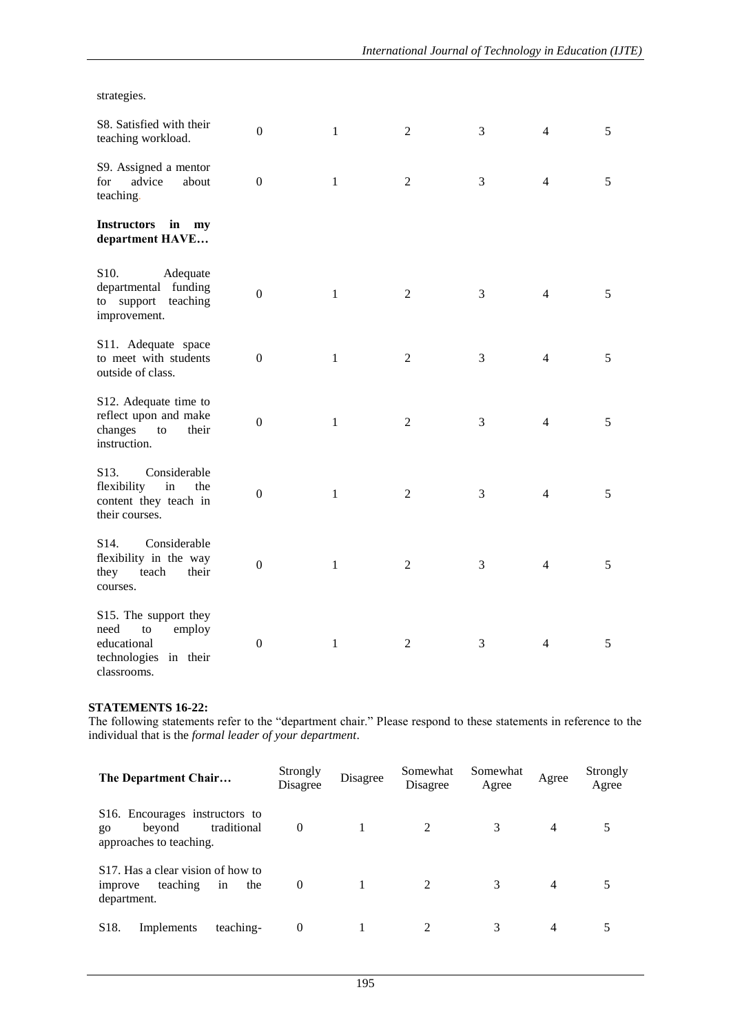strategies.

| S8. Satisfied with their<br>teaching workload.                                                           | $\Omega$         | 1            | $\overline{2}$ | 3 | 4              | 5 |
|----------------------------------------------------------------------------------------------------------|------------------|--------------|----------------|---|----------------|---|
| S9. Assigned a mentor<br>for<br>advice<br>about<br>teaching.                                             | $\boldsymbol{0}$ | $\mathbf{1}$ | $\mathbf{2}$   | 3 | $\overline{4}$ | 5 |
| <b>Instructors</b><br>in<br>my<br>department HAVE                                                        |                  |              |                |   |                |   |
| S10.<br>Adequate<br>departmental funding<br>to support<br>teaching<br>improvement.                       | $\boldsymbol{0}$ | $\mathbf{1}$ | $\overline{2}$ | 3 | 4              | 5 |
| S11. Adequate space<br>to meet with students<br>outside of class.                                        | $\boldsymbol{0}$ | $\mathbf{1}$ | $\overline{2}$ | 3 | $\overline{4}$ | 5 |
| S12. Adequate time to<br>reflect upon and make<br>changes<br>to<br>their<br>instruction.                 | $\boldsymbol{0}$ | $\mathbf{1}$ | $\mathfrak{2}$ | 3 | $\overline{4}$ | 5 |
| Considerable<br>S <sub>13</sub> .<br>flexibility<br>in<br>the<br>content they teach in<br>their courses. | $\boldsymbol{0}$ | $\mathbf{1}$ | $\overline{2}$ | 3 | $\overline{4}$ | 5 |
| Considerable<br>S <sub>14</sub> .<br>flexibility in the way<br>teach<br>their<br>they<br>courses.        | $\mathbf{0}$     | $\mathbf{1}$ | $\mathfrak{2}$ | 3 | $\overline{4}$ | 5 |
| S15. The support they<br>employ<br>need<br>to<br>educational<br>technologies in their<br>classrooms.     | $\boldsymbol{0}$ | $\mathbf{1}$ | $\overline{2}$ | 3 | 4              | 5 |

# **STATEMENTS 16-22:**

The following statements refer to the "department chair." Please respond to these statements in reference to the individual that is the *formal leader of your department*.

| The Department Chair                                                                                       | Strongly<br>Disagree | Disagree | Somewhat<br>Disagree | Somewhat<br>Agree | Agree          | Strongly<br>Agree |
|------------------------------------------------------------------------------------------------------------|----------------------|----------|----------------------|-------------------|----------------|-------------------|
| S <sub>16</sub> . Encourages instructors to<br>traditional<br>beyond<br>$g_{0}$<br>approaches to teaching. | $\boldsymbol{0}$     |          | 2                    | 3                 | $\overline{4}$ |                   |
| S <sub>17</sub> . Has a clear vision of how to<br>teaching<br>the<br>in<br>improve<br>department.          | $\overline{0}$       |          | 2                    | 3                 | $\overline{4}$ |                   |
| S <sub>18</sub> .<br>teaching-<br>Implements                                                               | $\boldsymbol{0}$     |          | 2                    | 3                 | 4              |                   |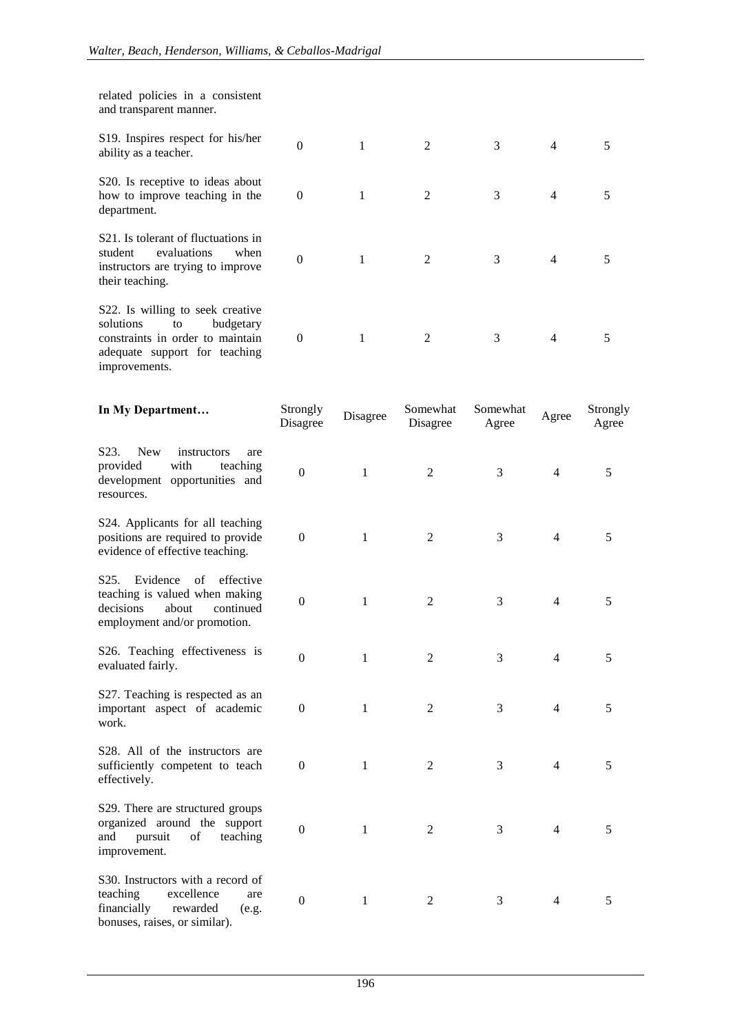| related policies in a consistent<br>and transparent manner.                                                                                            |                      |              |                      |                   |                |                   |
|--------------------------------------------------------------------------------------------------------------------------------------------------------|----------------------|--------------|----------------------|-------------------|----------------|-------------------|
| S19. Inspires respect for his/her<br>ability as a teacher.                                                                                             | $\boldsymbol{0}$     | $\mathbf{1}$ | $\mathbf{2}$         | 3                 | 4              | 5                 |
| S20. Is receptive to ideas about<br>how to improve teaching in the<br>department.                                                                      | $\theta$             | $\mathbf{1}$ | $\overline{c}$       | 3                 | 4              | 5                 |
| S <sub>21</sub> . Is tolerant of fluctuations in<br>evaluations<br>student<br>when<br>instructors are trying to improve<br>their teaching.             | $\mathbf{0}$         | $\mathbf{1}$ | $\overline{2}$       | 3                 | $\overline{4}$ | 5                 |
| S22. Is willing to seek creative<br>budgetary<br>solutions<br>to<br>constraints in order to maintain<br>adequate support for teaching<br>improvements. | $\boldsymbol{0}$     | $\mathbf{1}$ | $\overline{c}$       | 3                 | 4              | 5                 |
| In My Department                                                                                                                                       | Strongly<br>Disagree | Disagree     | Somewhat<br>Disagree | Somewhat<br>Agree | Agree          | Strongly<br>Agree |
| S <sub>23</sub> .<br><b>New</b><br>instructors<br>are<br>provided<br>with<br>teaching<br>development opportunities and<br>resources.                   | $\boldsymbol{0}$     | $\mathbf{1}$ | 2                    | 3                 | $\overline{4}$ | 5                 |
| S24. Applicants for all teaching<br>positions are required to provide<br>evidence of effective teaching.                                               | $\boldsymbol{0}$     | $\mathbf{1}$ | 2                    | 3                 | $\overline{4}$ | 5                 |
| Evidence<br>of<br>effective<br>S <sub>25</sub> .<br>teaching is valued when making<br>decisions<br>about<br>continued<br>employment and/or promotion.  | $\boldsymbol{0}$     | $\mathbf{1}$ | 2                    | 3                 | $\overline{4}$ | 5                 |
| S26. Teaching effectiveness is<br>evaluated fairly.                                                                                                    | 0                    | $\mathbf{1}$ | 2                    | 3                 | 4              | 5                 |
| S27. Teaching is respected as an<br>important aspect of academic<br>work.                                                                              | $\boldsymbol{0}$     | $\mathbf{1}$ | 2                    | 3                 | $\overline{4}$ | 5                 |
| S <sub>28</sub> . All of the instructors are<br>sufficiently competent to teach<br>effectively.                                                        | $\boldsymbol{0}$     | $\mathbf{1}$ | 2                    | 3                 | $\overline{4}$ | 5                 |
| S29. There are structured groups<br>organized around the support<br>and<br>pursuit<br>teaching<br>of<br>improvement.                                   | $\mathbf{0}$         | $\mathbf{1}$ | 2                    | 3                 | $\overline{4}$ | 5                 |
| S30. Instructors with a record of<br>teaching<br>excellence<br>are<br>financially<br>rewarded<br>(e.g.<br>bonuses, raises, or similar).                | $\boldsymbol{0}$     | $\mathbf{1}$ | 2                    | 3                 | $\overline{4}$ | 5                 |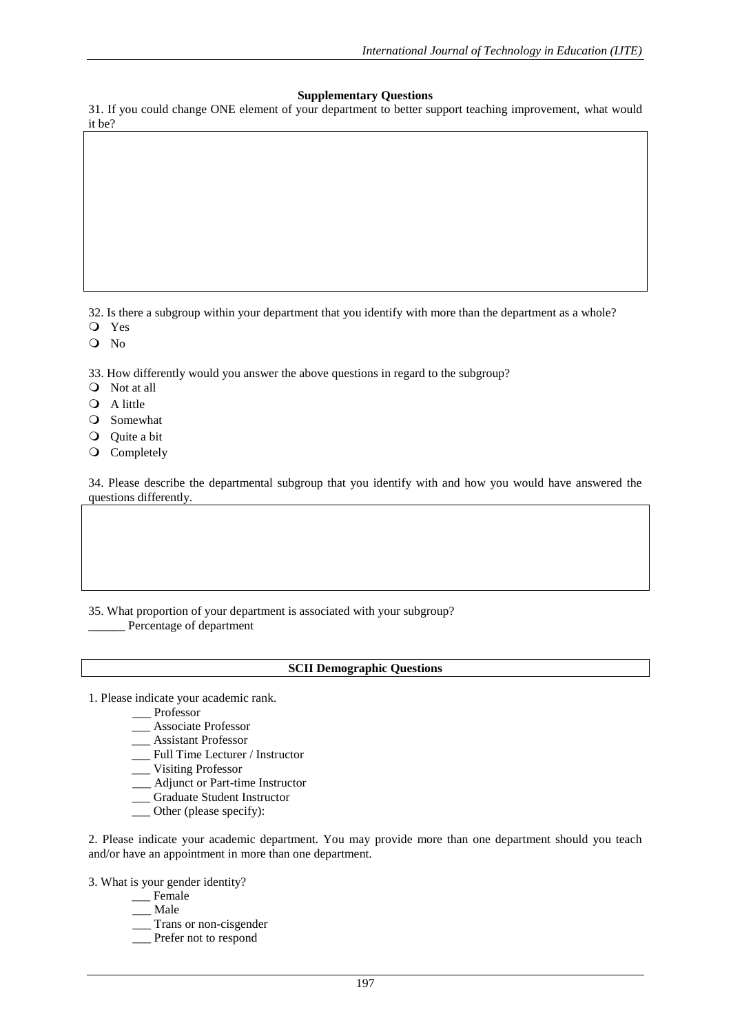### **Supplementary Questions**

31. If you could change ONE element of your department to better support teaching improvement, what would it be?

32. Is there a subgroup within your department that you identify with more than the department as a whole?

- Yes
- O No

33. How differently would you answer the above questions in regard to the subgroup?

- Not at all
- Q A little
- Somewhat
- Quite a bit
- Q Completely

34. Please describe the departmental subgroup that you identify with and how you would have answered the questions differently.

35. What proportion of your department is associated with your subgroup?

Percentage of department

### **SCII Demographic Questions**

- 1. Please indicate your academic rank.
	- \_\_\_ Professor
	- \_\_\_ Associate Professor
	- \_\_\_ Assistant Professor
	- \_\_\_ Full Time Lecturer / Instructor
	- \_\_\_ Visiting Professor
	- \_\_\_ Adjunct or Part-time Instructor
	- \_\_\_ Graduate Student Instructor
	- \_\_\_ Other (please specify):

2. Please indicate your academic department. You may provide more than one department should you teach and/or have an appointment in more than one department.

3. What is your gender identity?

- \_\_\_ Female
- \_\_\_ Male
- Trans or non-cisgender
- \_\_\_ Prefer not to respond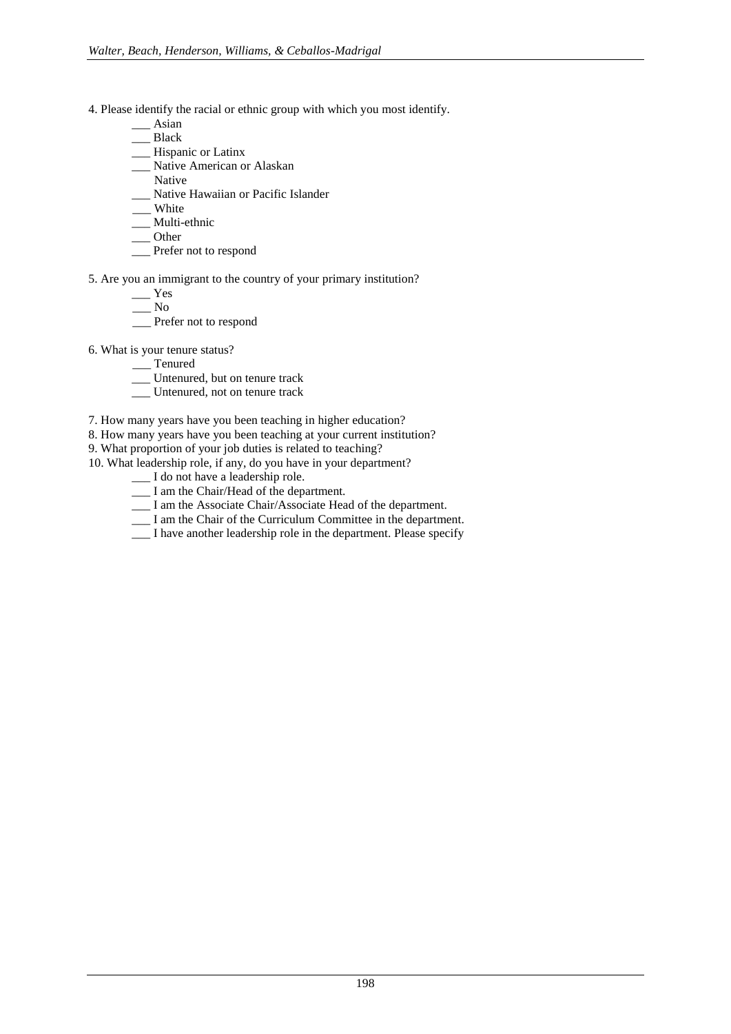- 4. Please identify the racial or ethnic group with which you most identify.
	- \_\_\_ Asian
	- \_\_\_ Black
	- \_\_\_ Hispanic or Latinx
	- \_\_\_ Native American or Alaskan
	- Native
	- \_\_\_ Native Hawaiian or Pacific Islander
	- \_\_\_ White
	- \_\_\_ Multi-ethnic
	- \_\_\_ Other
	- \_\_\_ Prefer not to respond
- 5. Are you an immigrant to the country of your primary institution?
	- \_\_\_ Yes
		- \_\_\_ No
	- \_\_\_ Prefer not to respond
- 6. What is your tenure status?
	- \_\_\_ Tenured
	- \_\_\_ Untenured, but on tenure track
	- \_\_\_ Untenured, not on tenure track
- 7. How many years have you been teaching in higher education?
- 8. How many years have you been teaching at your current institution?
- 9. What proportion of your job duties is related to teaching?
- 10. What leadership role, if any, do you have in your department?
	- \_\_\_ I do not have a leadership role.
	- I am the Chair/Head of the department.
	- \_\_\_ I am the Associate Chair/Associate Head of the department.
	- \_\_\_ I am the Chair of the Curriculum Committee in the department.
	- \_\_\_ I have another leadership role in the department. Please specify